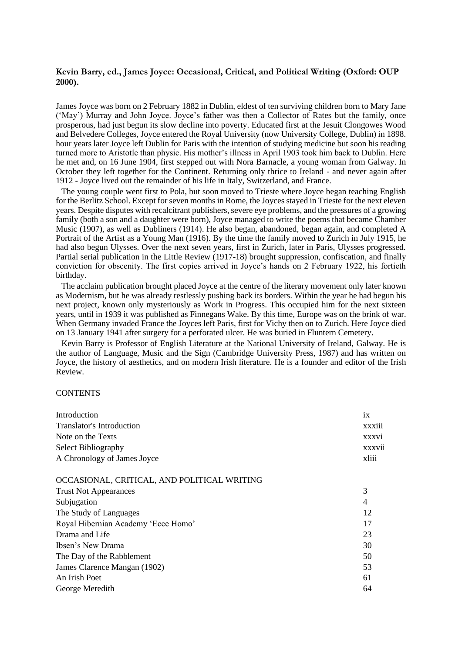# **Kevin Barry, ed., James Joyce: Occasional, Critical, and Political Writing (Oxford: OUP 2000).**

James Joyce was born on 2 February 1882 in Dublin, eldest of ten surviving children born to Mary Jane ('May') Murray and John Joyce. Joyce's father was then a Collector of Rates but the family, once prosperous, had just begun its slow decline into poverty. Educated first at the Jesuit Clongowes Wood and Belvedere Colleges, Joyce entered the Royal University (now University College, Dublin) in 1898. hour years later Joyce left Dublin for Paris with the intention of studying medicine but soon his reading turned more to Aristotle than physic. His mother's illness in April 1903 took him back to Dublin. Here he met and, on 16 June 1904, first stepped out with Nora Barnacle, a young woman from Galway. In October they left together for the Continent. Returning only thrice to Ireland - and never again after 1912 - Joyce lived out the remainder of his life in Italy, Switzerland, and France.

The young couple went first to Pola, but soon moved to Trieste where Joyce began teaching English for the Berlitz School. Except for seven months in Rome, the Joyces stayed in Trieste for the next eleven years. Despite disputes with recalcitrant publishers, severe eye problems, and the pressures of a growing family (both a son and a daughter were born), Joyce managed to write the poems that became Chamber Music (1907), as well as Dubliners (1914). He also began, abandoned, began again, and completed A Portrait of the Artist as a Young Man (1916). By the time the family moved to Zurich in July 1915, he had also begun Ulysses. Over the next seven years, first in Zurich, later in Paris, Ulysses progressed. Partial serial publication in the Little Review (1917-18) brought suppression, confiscation, and finally conviction for obscenity. The first copies arrived in Joyce's hands on 2 February 1922, his fortieth birthday.

The acclaim publication brought placed Joyce at the centre of the literary movement only later known as Modernism, but he was already restlessly pushing back its borders. Within the year he had begun his next project, known only mysteriously as Work in Progress. This occupied him for the next sixteen years, until in 1939 it was published as Finnegans Wake. By this time, Europe was on the brink of war. When Germany invaded France the Joyces left Paris, first for Vichy then on to Zurich. Here Joyce died on 13 January 1941 after surgery for a perforated ulcer. He was buried in Fluntern Cemetery.

Kevin Barry is Professor of English Literature at the National University of Ireland, Galway. He is the author of Language, Music and the Sign (Cambridge University Press, 1987) and has written on Joyce, the history of aesthetics, and on modern Irish literature. He is a founder and editor of the Irish Review.

# **CONTENTS**

| Introduction                                | ix            |
|---------------------------------------------|---------------|
| Translator's Introduction                   | <b>XXX111</b> |
| Note on the Texts                           | <b>XXXVI</b>  |
| Select Bibliography                         | <b>XXXVII</b> |
| A Chronology of James Joyce                 | xliii         |
| OCCASIONAL, CRITICAL, AND POLITICAL WRITING |               |
| <b>Trust Not Appearances</b>                | 3             |
| Subjugation                                 | 4             |
| The Study of Languages                      | 12            |
| Royal Hibernian Academy 'Ecce Homo'         | 17            |
| Drama and Life                              | 23            |
| Ibsen's New Drama                           | 30            |
| The Day of the Rabblement                   | 50            |
| James Clarence Mangan (1902)                | 53            |
| An Irish Poet                               | 61            |
| George Meredith                             | 64            |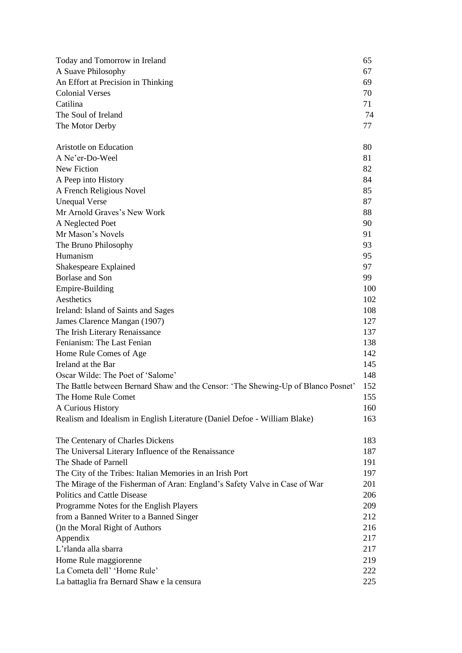| Today and Tomorrow in Ireland                                                     | 65  |
|-----------------------------------------------------------------------------------|-----|
| A Suave Philosophy                                                                | 67  |
| An Effort at Precision in Thinking                                                | 69  |
| <b>Colonial Verses</b>                                                            | 70  |
| Catilina                                                                          | 71  |
| The Soul of Ireland                                                               | 74  |
| The Motor Derby                                                                   | 77  |
| Aristotle on Education                                                            | 80  |
| A Ne'er-Do-Weel                                                                   | 81  |
| New Fiction                                                                       | 82  |
| A Peep into History                                                               | 84  |
| A French Religious Novel                                                          | 85  |
| <b>Unequal Verse</b>                                                              | 87  |
| Mr Arnold Graves's New Work                                                       | 88  |
| A Neglected Poet                                                                  | 90  |
| Mr Mason's Novels                                                                 | 91  |
| The Bruno Philosophy                                                              | 93  |
| Humanism                                                                          | 95  |
| Shakespeare Explained                                                             | 97  |
| Borlase and Son                                                                   | 99  |
| Empire-Building                                                                   | 100 |
| Aesthetics                                                                        | 102 |
| Ireland: Island of Saints and Sages                                               | 108 |
| James Clarence Mangan (1907)                                                      | 127 |
| The Irish Literary Renaissance                                                    | 137 |
| Fenianism: The Last Fenian                                                        | 138 |
| Home Rule Comes of Age                                                            | 142 |
| Ireland at the Bar                                                                | 145 |
| Oscar Wilde: The Poet of 'Salome'                                                 | 148 |
| The Battle between Bernard Shaw and the Censor: 'The Shewing-Up of Blanco Posnet' | 152 |
| The Home Rule Comet                                                               | 155 |
| A Curious History                                                                 | 160 |
| Realism and Idealism in English Literature (Daniel Defoe - William Blake)         | 163 |
| The Centenary of Charles Dickens                                                  | 183 |
| The Universal Literary Influence of the Renaissance                               | 187 |
| The Shade of Parnell                                                              | 191 |
| The City of the Tribes: Italian Memories in an Irish Port                         | 197 |
| The Mirage of the Fisherman of Aran: England's Safety Valve in Case of War        | 201 |
| <b>Politics and Cattle Disease</b>                                                | 206 |
| Programme Notes for the English Players                                           | 209 |
| from a Banned Writer to a Banned Singer                                           | 212 |
| ()n the Moral Right of Authors                                                    | 216 |
| Appendix                                                                          | 217 |
| L'rlanda alla sbarra                                                              | 217 |
| Home Rule maggiorenne                                                             | 219 |
| La Cometa dell' 'Home Rule'                                                       | 222 |
| La battaglia fra Bernard Shaw e la censura                                        | 225 |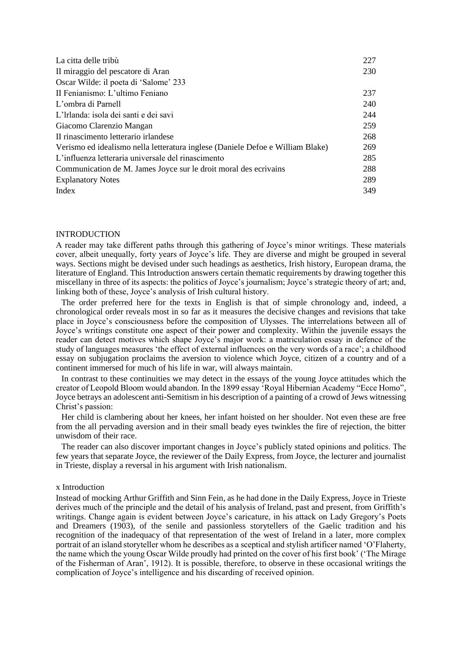| La citta delle tribù                                                           | 227 |
|--------------------------------------------------------------------------------|-----|
| II miraggio del pescatore di Aran                                              | 230 |
| Oscar Wilde: il poeta di 'Salome' 233                                          |     |
| II Fenianismo: L'ultimo Feniano                                                | 237 |
| L'ombra di Parnell                                                             | 240 |
| L'Irlanda: isola dei santi e dei savi                                          | 244 |
| Giacomo Clarenzio Mangan                                                       | 259 |
| II rinascimento letterario irlandese                                           | 268 |
| Verismo ed idealismo nella letteratura inglese (Daniele Defoe e William Blake) | 269 |
| L'influenza letteraria universale del rinascimento                             | 285 |
| Communication de M. James Joyce sur le droit moral des ecrivains               | 288 |
| <b>Explanatory Notes</b>                                                       | 289 |
| Index                                                                          | 349 |

# INTRODUCTION

A reader may take different paths through this gathering of Joyce's minor writings. These materials cover, albeit unequally, forty years of Joyce's life. They are diverse and might be grouped in several ways. Sections might be devised under such headings as aesthetics, Irish history, European drama, the literature of England. This Introduction answers certain thematic requirements by drawing together this miscellany in three of its aspects: the politics of Joyce's journalism; Joyce's strategic theory of art; and, linking both of these, Joyce's analysis of Irish cultural history.

The order preferred here for the texts in English is that of simple chronology and, indeed, a chronological order reveals most in so far as it measures the decisive changes and revisions that take place in Joyce's consciousness before the composition of Ulysses. The interrelations between all of Joyce's writings constitute one aspect of their power and complexity. Within the juvenile essays the reader can detect motives which shape Joyce's major work: a matriculation essay in defence of the study of languages measures 'the effect of external influences on the very words of a race'; a childhood essay on subjugation proclaims the aversion to violence which Joyce, citizen of a country and of a continent immersed for much of his life in war, will always maintain.

In contrast to these continuities we may detect in the essays of the young Joyce attitudes which the creator of Leopold Bloom would abandon. In the 1899 essay 'Royal Hibernian Academy "Ecce Homo", Joyce betrays an adolescent anti-Semitism in his description of a painting of a crowd of Jews witnessing Christ's passion:

Her child is clambering about her knees, her infant hoisted on her shoulder. Not even these are free from the all pervading aversion and in their small beady eyes twinkles the fire of rejection, the bitter unwisdom of their race.

The reader can also discover important changes in Joyce's publicly stated opinions and politics. The few years that separate Joyce, the reviewer of the Daily Express, from Joyce, the lecturer and journalist in Trieste, display a reversal in his argument with Irish nationalism.

## x Introduction

Instead of mocking Arthur Griffith and Sinn Fein, as he had done in the Daily Express, Joyce in Trieste derives much of the principle and the detail of his analysis of Ireland, past and present, from Griffith's writings. Change again is evident between Joyce's caricature, in his attack on Lady Gregory's Poets and Dreamers (1903), of the senile and passionless storytellers of the Gaelic tradition and his recognition of the inadequacy of that representation of the west of Ireland in a later, more complex portrait of an island storyteller whom he describes as a sceptical and stylish artificer named 'O'Flaherty, the name which the young Oscar Wilde proudly had printed on the cover of his first book' ('The Mirage of the Fisherman of Aran', 1912). It is possible, therefore, to observe in these occasional writings the complication of Joyce's intelligence and his discarding of received opinion.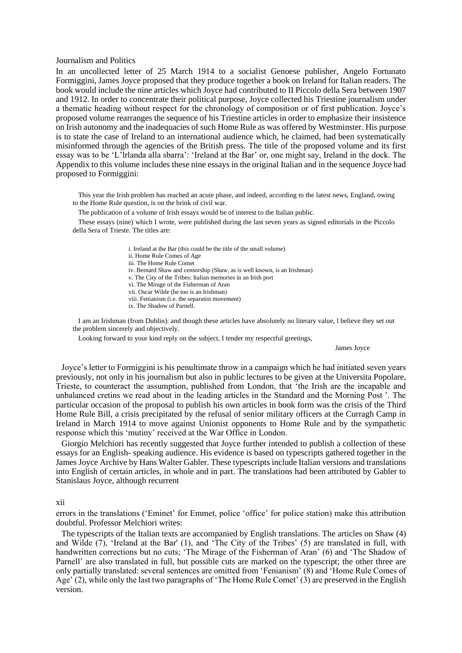#### Journalism and Politics

In an uncollected letter of 25 March 1914 to a socialist Genoese publisher, Angelo Fortunato Formiggini, James Joyce proposed that they produce together a book on Ireland for Italian readers. The book would include the nine articles which Joyce had contributed to II Piccolo della Sera between 1907 and 1912. In order to concentrate their political purpose, Joyce collected his Triestine journalism under a thematic heading without respect for the chronology of composition or of first publication. Joyce's proposed volume rearranges the sequence of his Triestine articles in order to emphasize their insistence on Irish autonomy and the inadequacies of such Home Rule as was offered by Westminster. His purpose is to state the case of Ireland to an international audience which, he claimed, had been systematically misinformed through the agencies of the British press. The title of the proposed volume and its first essay was to be 'L'lrlanda alla sbarra': 'Ireland at the Bar' or, one might say, Ireland in the dock. The Appendix to this volume includes these nine essays in the original Italian and in the sequence Joyce had proposed to Formiggini:

This year the Irish problem has reached an acute phase, and indeed, according to the latest news, England, owing to the Home Rule question, is on the brink of civil war.

The publication of a volume of Irish essays would be of interest to the Italian public.

These essays (nine) which I wrote, were published during the last seven years as signed editorials in the Piccolo della Sera of Trieste. The titles are:

i. Ireland at the Bar (this could be the title of the small volume)

ii. Home Rule Comes of Age

iii. The Home Rule Comet

iv. Bernard Shaw and censorship (Shaw, as is well known, is an Irishman)

v. The City of the Tribes: Italian memories in an Irish port vi. The Mirage of the Fisherman of Aran

vii. Oscar Wilde (he too is an Irishman)

viii. Fenianism (i.e. the separatist movement)

ix. The Shadow of Parnell.

I am an Irishman (from Dublin): and though these articles have absolutely no literary value, l believe they set out the problem sincerely and objectively.

Looking forward to your kind reply on the subject, I tender my respectful greetings,

#### James Joyce

Joyce's letter to Formiggini is his penultimate throw in a campaign which he had initiated seven years previously, not only in his journalism but also in public lectures to be given at the Universita Popolare, Trieste, to counteract the assumption, published from London, that 'the Irish are the incapable and unbalanced cretins we read about in the leading articles in the Standard and the Morning Post '. The particular occasion of the proposal to publish his own articles in book form was the crisis of the Third Home Rule Bill, a crisis precipitated by the refusal of senior military officers at the Curragh Camp in Ireland in March 1914 to move against Unionist opponents to Home Rule and by the sympathetic response which this 'mutiny' received at the War Office in London.

Giorgio Melchiori has recently suggested that Joyce further intended to publish a collection of these essays for an English- speaking audience. His evidence is based on typescripts gathered together in the James Joyce Archive by Hans Walter Gabler. These typescripts include Italian versions and translations into English of certain articles, in whole and in part. The translations had been attributed by Gabler to Stanislaus Joyce, although recurrent

xii

errors in the translations ('Eminet' for Emmet, police 'office' for police station) make this attribution doubtful. Professor Melchiori writes:

The typescripts of the Italian texts are accompanied by English translations. The articles on Shaw (4) and Wilde (7), 'Ireland at the Bar' (1), and 'The City of the Tribes' (5) are translated in full, with handwritten corrections but no cuts; 'The Mirage of the Fisherman of Aran' (6) and 'The Shadow of Parnell' are also translated in full, but possible cuts are marked on the typescript; the other three are only partially translated: several sentences are omitted from 'Fenianism' (8) and 'Home Rule Comes of Age' (2), while only the last two paragraphs of 'The Home Rule Comet' (3) are preserved in the English version.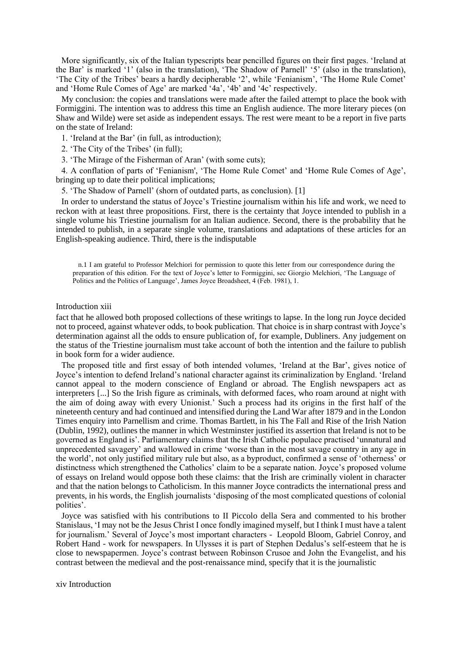More significantly, six of the Italian typescripts bear pencilled figures on their first pages. 'Ireland at the Bar' is marked '1' (also in the translation), 'The Shadow of Parnell' '5' (also in the translation), 'The City of the Tribes' bears a hardly decipherable '2', while 'Fenianism', 'The Home Rule Comet' and 'Home Rule Comes of Age' are marked '4a', '4b' and '4c' respectively.

My conclusion: the copies and translations were made after the failed attempt to place the book with Formiggini. The intention was to address this time an English audience. The more literary pieces (on Shaw and Wilde) were set aside as independent essays. The rest were meant to be a report in five parts on the state of Ireland:

1. 'Ireland at the Bar' (in full, as introduction);

2. 'The City of the Tribes' (in full);

3. 'The Mirage of the Fisherman of Aran' (with some cuts);

4. A conflation of parts of 'Fenianism', 'The Home Rule Comet' and 'Home Rule Comes of Age', bringing up to date their political implications;

5. 'The Shadow of Parnell' (shorn of outdated parts, as conclusion). [1]

In order to understand the status of Joyce's Triestine journalism within his life and work, we need to reckon with at least three propositions. First, there is the certainty that Joyce intended to publish in a single volume his Triestine journalism for an Italian audience. Second, there is the probability that he intended to publish, in a separate single volume, translations and adaptations of these articles for an English-speaking audience. Third, there is the indisputable

n.1 I am grateful to Professor Melchiori for permission to quote this letter from our correspondence during the preparation of this edition. For the text of Joyce's letter to Formiggini, sec Giorgio Melchiori, 'The Language of Politics and the Politics of Language', James Joyce Broadsheet, 4 (Feb. 1981), 1.

#### Introduction xiii

fact that he allowed both proposed collections of these writings to lapse. In the long run Joyce decided not to proceed, against whatever odds, to book publication. That choice is in sharp contrast with Joyce's determination against all the odds to ensure publication of, for example, Dubliners. Any judgement on the status of the Triestine journalism must take account of both the intention and the failure to publish in book form for a wider audience.

The proposed title and first essay of both intended volumes, 'Ireland at the Bar', gives notice of Joyce's intention to defend Ireland's national character against its criminalization by England. 'Ireland cannot appeal to the modern conscience of England or abroad. The English newspapers act as interpreters [...] So the Irish figure as criminals, with deformed faces, who roam around at night with the aim of doing away with every Unionist.' Such a process had its origins in the first half of the nineteenth century and had continued and intensified during the Land War after 1879 and in the London Times enquiry into Parnellism and crime. Thomas Bartlett, in his The Fall and Rise of the Irish Nation (Dublin, 1992), outlines the manner in which Westminster justified its assertion that Ireland is not to be governed as England is'. Parliamentary claims that the Irish Catholic populace practised 'unnatural and unprecedented savagery' and wallowed in crime 'worse than in the most savage country in any age in the world', not only justified military rule but also, as a byproduct, confirmed a sense of 'otherness' or distinctness which strengthened the Catholics' claim to be a separate nation. Joyce's proposed volume of essays on Ireland would oppose both these claims: that the Irish are criminally violent in character and that the nation belongs to Catholicism. In this manner Joyce contradicts the international press and prevents, in his words, the English journalists 'disposing of the most complicated questions of colonial polities'.

Joyce was satisfied with his contributions to II Piccolo della Sera and commented to his brother Stanislaus, 'I may not be the Jesus Christ I once fondly imagined myself, but I think I must have a talent for journalism.' Several of Joyce's most important characters - Leopold Bloom, Gabriel Conroy, and Robert Hand - work for newspapers. In Ulysses it is part of Stephen Dedalus's self-esteem that he is close to newspapermen. Joyce's contrast between Robinson Crusoe and John the Evangelist, and his contrast between the medieval and the post-renaissance mind, specify that it is the journalistic

xiv Introduction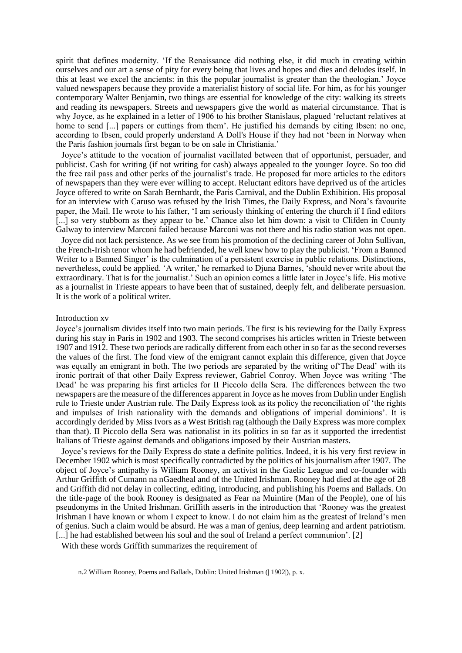spirit that defines modernity. 'If the Renaissance did nothing else, it did much in creating within ourselves and our art a sense of pity for every being that lives and hopes and dies and deludes itself. In this at least we excel the ancients: in this the popular journalist is greater than the theologian.' Joyce valued newspapers because they provide a materialist history of social life. For him, as for his younger contemporary Walter Benjamin, two things are essential for knowledge of the city: walking its streets and reading its newspapers. Streets and newspapers give the world as material circumstance. That is why Joyce, as he explained in a letter of 1906 to his brother Stanislaus, plagued 'reluctant relatives at home to send [...] papers or cuttings from them'. He justified his demands by citing Ibsen: no one, according to Ibsen, could properly understand A Doll's House if they had not 'been in Norway when the Paris fashion journals first began to be on sale in Christiania.'

Joyce's attitude to the vocation of journalist vacillated between that of opportunist, persuader, and publicist. Cash for writing (if not writing for cash) always appealed to the younger Joyce. So too did the free rail pass and other perks of the journalist's trade. He proposed far more articles to the editors of newspapers than they were ever willing to accept. Reluctant editors have deprived us of the articles Joyce offered to write on Sarah Bernhardt, the Paris Carnival, and the Dublin Exhibition. His proposal for an interview with Caruso was refused by the Irish Times, the Daily Express, and Nora's favourite paper, the Mail. He wrote to his father, 'I am seriously thinking of entering the church if I find editors [...] so very stubborn as they appear to be.' Chance also let him down: a visit to Clifden in County Galway to interview Marconi failed because Marconi was not there and his radio station was not open.

Joyce did not lack persistence. As we see from his promotion of the declining career of John Sullivan, the French-Irish tenor whom he had befriended, he well knew how to play the publicist. 'From a Banned Writer to a Banned Singer' is the culmination of a persistent exercise in public relations. Distinctions, nevertheless, could be applied. 'A writer,' he remarked to Djuna Barnes, 'should never write about the extraordinary. That is for the journalist.' Such an opinion comes a little later in Joyce's life. His motive as a journalist in Trieste appears to have been that of sustained, deeply felt, and deliberate persuasion. It is the work of a political writer.

## Introduction xv

Joyce's journalism divides itself into two main periods. The first is his reviewing for the Daily Express during his stay in Paris in 1902 and 1903. The second comprises his articles written in Trieste between 1907 and 1912. These two periods are radically different from each other in so far as the second reverses the values of the first. The fond view of the emigrant cannot explain this difference, given that Joyce was equally an emigrant in both. The two periods are separated by the writing of'The Dead' with its ironic portrait of that other Daily Express reviewer, Gabriel Conroy. When Joyce was writing 'The Dead' he was preparing his first articles for II Piccolo della Sera. The differences between the two newspapers are the measure of the differences apparent in Joyce as he moves from Dublin under English rule to Trieste under Austrian rule. The Daily Express took as its policy the reconciliation of 'the rights and impulses of Irish nationality with the demands and obligations of imperial dominions'. It is accordingly derided by Miss Ivors as a West British rag (although the Daily Express was more complex than that). II Piccolo della Sera was nationalist in its politics in so far as it supported the irredentist Italians of Trieste against demands and obligations imposed by their Austrian masters.

Joyce's reviews for the Daily Express do state a definite politics. Indeed, it is his very first review in December 1902 which is most specifically contradicted by the politics of his journalism after 1907. The object of Joyce's antipathy is William Rooney, an activist in the Gaelic League and co-founder with Arthur Griffith of Cumann na nGaedheal and of the United Irishman. Rooney had died at the age of 28 and Griffith did not delay in collecting, editing, introducing, and publishing his Poems and Ballads. On the title-page of the book Rooney is designated as Fear na Muintire (Man of the People), one of his pseudonyms in the United Irishman. Griffith asserts in the introduction that 'Rooney was the greatest Irishman I have known or whom I expect to know. I do not claim him as the greatest of Ireland's men of genius. Such a claim would be absurd. He was a man of genius, deep learning and ardent patriotism. [...] he had established between his soul and the soul of Ireland a perfect communion'. [2]

With these words Griffith summarizes the requirement of

n.2 William Rooney, Poems and Ballads, Dublin: United Irishman (| 1902|), p. x.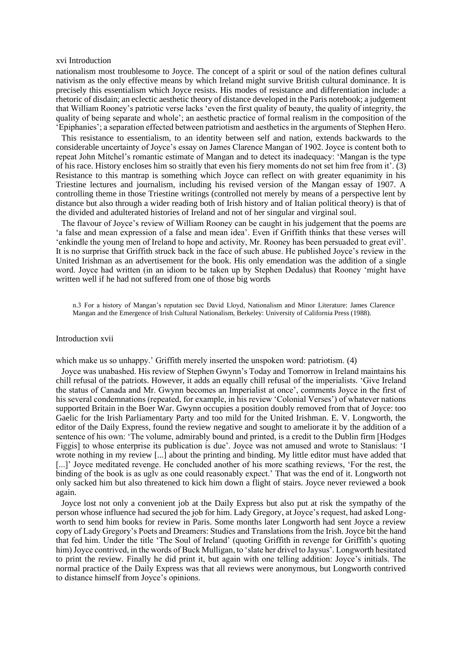#### xvi Introduction

nationalism most troublesome to Joyce. The concept of a spirit or soul of the nation defines cultural nativism as the only effective means by which Ireland might survive British cultural dominance. It is precisely this essentialism which Joyce resists. His modes of resistance and differentiation include: a rhetoric of disdain; an eclectic aesthetic theory of distance developed in the Paris notebook; a judgement that William Rooney's patriotic verse lacks 'even the first quality of beauty, the quality of integrity, the quality of being separate and whole'; an aesthetic practice of formal realism in the composition of the 'Epiphanies'; a separation effected between patriotism and aesthetics in the arguments of Stephen Hero.

This resistance to essentialism, to an identity between self and nation, extends backwards to the considerable uncertainty of Joyce's essay on James Clarence Mangan of 1902. Joyce is content both to repeat John Mitchel's romantic estimate of Mangan and to detect its inadequacy: 'Mangan is the type of his race. History encloses him so straitly that even his fiery moments do not set him free from it'. (3) Resistance to this mantrap is something which Joyce can reflect on with greater equanimity in his Triestine lectures and journalism, including his revised version of the Mangan essay of 1907. A controlling theme in those Triestine writings (controlled not merely by means of a perspective lent by distance but also through a wider reading both of Irish history and of Italian political theory) is that of the divided and adulterated histories of Ireland and not of her singular and virginal soul.

The flavour of Joyce's review of William Rooney can be caught in his judgement that the poems are 'a false and mean expression of a false and mean idea'. Even if Griffith thinks that these verses will 'enkindle the young men of Ireland to hope and activity, Mr. Rooney has been persuaded to great evil'. It is no surprise that Griffith struck back in the face of such abuse. He published Joyce's review in the United Irishman as an advertisement for the book. His only emendation was the addition of a single word. Joyce had written (in an idiom to be taken up by Stephen Dedalus) that Rooney 'might have written well if he had not suffered from one of those big words

n.3 For a history of Mangan's reputation sec David Lloyd, Nationalism and Minor Literature: James Clarence Mangan and the Emergence of Irish Cultural Nationalism, Berkeley: University of California Press (1988).

#### Introduction xvii

which make us so unhappy.' Griffith merely inserted the unspoken word: patriotism. (4)

Joyce was unabashed. His review of Stephen Gwynn's Today and Tomorrow in Ireland maintains his chill refusal of the patriots. However, it adds an equally chill refusal of the imperialists. 'Give Ireland the status of Canada and Mr. Gwynn becomes an Imperialist at once', comments Joyce in the first of his several condemnations (repeated, for example, in his review 'Colonial Verses') of whatever nations supported Britain in the Boer War. Gwynn occupies a position doubly removed from that of Joyce: too Gaelic for the Irish Parliamentary Party and too mild for the United Irishman. E. V. Longworth, the editor of the Daily Express, found the review negative and sought to ameliorate it by the addition of a sentence of his own: 'The volume, admirably bound and printed, is a credit to the Dublin firm [Hodges Figgis] to whose enterprise its publication is due'. Joyce was not amused and wrote to Stanislaus: 'I wrote nothing in my review [...] about the printing and binding. My little editor must have added that [...]' Joyce meditated revenge. He concluded another of his more scathing reviews, 'For the rest, the binding of the book is as ugly as one could reasonably expect.' That was the end of it. Longworth not only sacked him but also threatened to kick him down a flight of stairs. Joyce never reviewed a book again.

Joyce lost not only a convenient job at the Daily Express but also put at risk the sympathy of the person whose influence had secured the job for him. Lady Gregory, at Joyce's request, had asked Longworth to send him books for review in Paris. Some months later Longworth had sent Joyce a review copy of Lady Gregory's Poets and Dreamers: Studies and Translations from the Irish. Joyce bit the hand that fed him. Under the title 'The Soul of Ireland' (quoting Griffith in revenge for Griffith's quoting him) Joyce contrived, in the words of Buck Mulligan, to 'slate her drivel to Jaysus'. Longworth hesitated to print the review. Finally he did print it, but again with one telling addition: Joyce's initials. The normal practice of the Daily Express was that all reviews were anonymous, but Longworth contrived to distance himself from Joyce's opinions.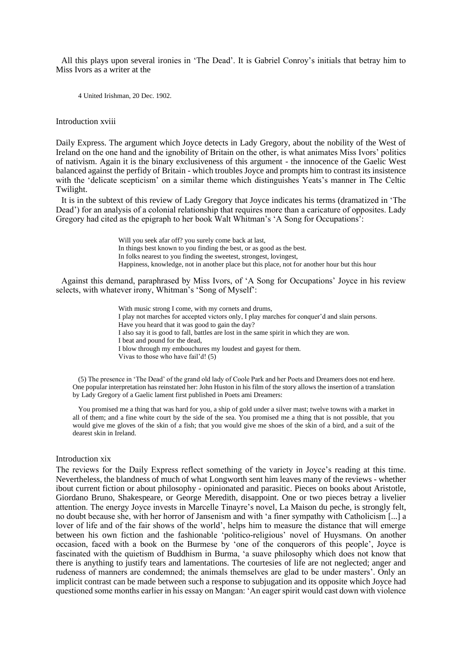All this plays upon several ironies in 'The Dead'. It is Gabriel Conroy's initials that betray him to Miss Ivors as a writer at the

4 United Irishman, 20 Dec. 1902.

Introduction xviii

Daily Express. The argument which Joyce detects in Lady Gregory, about the nobility of the West of Ireland on the one hand and the ignobility of Britain on the other, is what animates Miss Ivors' politics of nativism. Again it is the binary exclusiveness of this argument - the innocence of the Gaelic West balanced against the perfidy of Britain - which troubles Joyce and prompts him to contrast its insistence with the 'delicate scepticism' on a similar theme which distinguishes Yeats's manner in The Celtic Twilight.

It is in the subtext of this review of Lady Gregory that Joyce indicates his terms (dramatized in 'The Dead') for an analysis of a colonial relationship that requires more than a caricature of opposites. Lady Gregory had cited as the epigraph to her book Walt Whitman's 'A Song for Occupations':

> Will you seek afar off? you surely come back at last, In things best known to you finding the best, or as good as the best. In folks nearest to you finding the sweetest, strongest, lovingest, Happiness, knowledge, not in another place but this place, not for another hour but this hour

Against this demand, paraphrased by Miss Ivors, of 'A Song for Occupations' Joyce in his review selects, with whatever irony, Whitman's 'Song of Myself':

> With music strong I come, with my cornets and drums, I play not marches for accepted victors only, I play marches for conquer'd and slain persons. Have you heard that it was good to gain the day? I also say it is good to fall, battles are lost in the same spirit in which they are won. I beat and pound for the dead, I blow through my embouchures my loudest and gayest for them. Vivas to those who have fail'd! (5)

(5) The presence in 'The Dead' of the grand old lady of Coole Park and her Poets and Dreamers does not end here. One popular interpretation has reinstated her: John Huston in his film of the story allows the insertion of a translation by Lady Gregory of a Gaelic lament first published in Poets ami Dreamers:

You promised me a thing that was hard for you, a ship of gold under a silver mast; twelve towns with a market in all of them; and a fine white court by the side of the sea. You promised me a thing that is not possible, that you would give me gloves of the skin of a fish; that you would give me shoes of the skin of a bird, and a suit of the dearest skin in Ireland.

#### Introduction xix

The reviews for the Daily Express reflect something of the variety in Joyce's reading at this time. Nevertheless, the blandness of much of what Longworth sent him leaves many of the reviews - whether ibout current fiction or about philosophy - opinionated and parasitic. Pieces on books about Aristotle, Giordano Bruno, Shakespeare, or George Meredith, disappoint. One or two pieces betray a livelier attention. The energy Joyce invests in Marcelle Tinayre's novel, La Maison du peche, is strongly felt, no doubt because she, with her horror of Jansenism and with 'a finer sympathy with Catholicism [...] a lover of life and of the fair shows of the world', helps him to measure the distance that will emerge between his own fiction and the fashionable 'politico-religious' novel of Huysmans. On another occasion, faced with a book on the Burmese by 'one of the conquerors of this people', Joyce is fascinated with the quietism of Buddhism in Burma, 'a suave philosophy which does not know that there is anything to justify tears and lamentations. The courtesies of life are not neglected; anger and rudeness of manners are condemned; the animals themselves are glad to be under masters'. Only an implicit contrast can be made between such a response to subjugation and its opposite which Joyce had questioned some months earlier in his essay on Mangan: 'An eager spirit would cast down with violence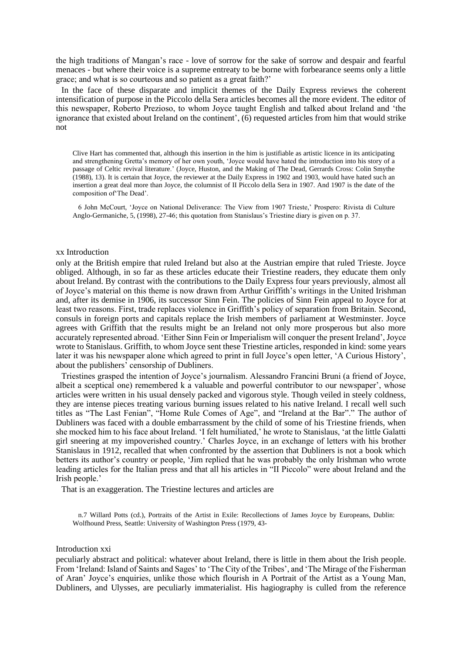the high traditions of Mangan's race - love of sorrow for the sake of sorrow and despair and fearful menaces - but where their voice is a supreme entreaty to be borne with forbearance seems only a little grace; and what is so courteous and so patient as a great faith?'

In the face of these disparate and implicit themes of the Daily Express reviews the coherent intensification of purpose in the Piccolo della Sera articles becomes all the more evident. The editor of this newspaper, Roberto Prezioso, to whom Joyce taught English and talked about Ireland and 'the ignorance that existed about Ireland on the continent', (6) requested articles from him that would strike not

Clive Hart has commented that, although this insertion in the him is justifiable as artistic licence in its anticipating and strengthening Gretta's memory of her own youth, 'Joyce would have hated the introduction into his story of a passage of Celtic revival literature.' (Joyce, Huston, and the Making of The Dead, Gerrards Cross: Colin Smythe (1988), 13). It is certain that Joyce, the reviewer at the Daily Express in 1902 and 1903, would have hated such an insertion a great deal more than Joyce, the columnist of II Piccolo della Sera in 1907. And 1907 is the date of the composition of'The Dead'.

6 John McCourt, 'Joyce on National Deliverance: The View from 1907 Trieste,' Prospero: Rivista di Culture Anglo-Germaniche, 5, (1998), 27-46; this quotation from Stanislaus's Triestine diary is given on p. 37.

#### xx Introduction

only at the British empire that ruled Ireland but also at the Austrian empire that ruled Trieste. Joyce obliged. Although, in so far as these articles educate their Triestine readers, they educate them only about Ireland. By contrast with the contributions to the Daily Express four years previously, almost all of Joyce's material on this theme is now drawn from Arthur Griffith's writings in the United Irishman and, after its demise in 1906, its successor Sinn Fein. The policies of Sinn Fein appeal to Joyce for at least two reasons. First, trade replaces violence in Griffith's policy of separation from Britain. Second, consuls in foreign ports and capitals replace the Irish members of parliament at Westminster. Joyce agrees with Griffith that the results might be an Ireland not only more prosperous but also more accurately represented abroad. 'Either Sinn Fein or Imperialism will conquer the present Ireland', Joyce wrote to Stanislaus. Griffith, to whom Joyce sent these Triestine articles, responded in kind: some years later it was his newspaper alone which agreed to print in full Joyce's open letter, 'A Curious History', about the publishers' censorship of Dubliners.

Triestines grasped the intention of Joyce's journalism. Alessandro Francini Bruni (a friend of Joyce, albeit a sceptical one) remembered k a valuable and powerful contributor to our newspaper', whose articles were written in his usual densely packed and vigorous style. Though veiled in steely coldness, they are intense pieces treating various burning issues related to his native Ireland. I recall well such titles as "The Last Fenian", "Home Rule Comes of Age", and "Ireland at the Bar"." The author of Dubliners was faced with a double embarrassment by the child of some of his Triestine friends, when she mocked him to his face about Ireland. 'I felt humiliated,' he wrote to Stanislaus, 'at the little Galatti girl sneering at my impoverished country.' Charles Joyce, in an exchange of letters with his brother Stanislaus in 1912, recalled that when confronted by the assertion that Dubliners is not a book which betters its author's country or people, 'Jim replied that he was probably the only Irishman who wrote leading articles for the Italian press and that all his articles in "II Piccolo" were about Ireland and the Irish people.'

That is an exaggeration. The Triestine lectures and articles are

n.7 Willard Potts (cd.), Portraits of the Artist in Exile: Recollections of James Joyce by Europeans, Dublin: Wolfhound Press, Seattle: University of Washington Press (1979, 43-

# Introduction xxi

peculiarly abstract and political: whatever about Ireland, there is little in them about the Irish people. From 'Ireland: Island of Saints and Sages' to 'The City of the Tribes', and 'The Mirage of the Fisherman of Aran' Joyce's enquiries, unlike those which flourish in A Portrait of the Artist as a Young Man, Dubliners, and Ulysses, are peculiarly immaterialist. His hagiography is culled from the reference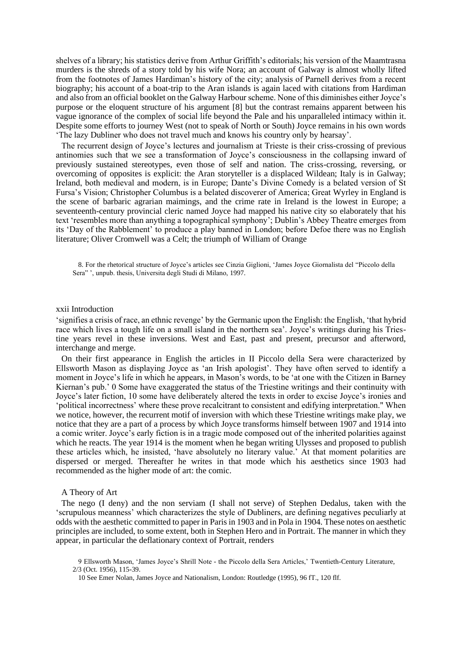shelves of a library; his statistics derive from Arthur Griffith's editorials; his version of the Maamtrasna murders is the shreds of a story told by his wife Nora; an account of Galway is almost wholly lifted from the footnotes of James Hardiman's history of the city; analysis of Parnell derives from a recent biography; his account of a boat-trip to the Aran islands is again laced with citations from Hardiman and also from an official booklet on the Galway Harbour scheme. None of this diminishes either Joyce's purpose or the eloquent structure of his argument [8] but the contrast remains apparent between his vague ignorance of the complex of social life beyond the Pale and his unparalleled intimacy within it. Despite some efforts to journey West (not to speak of North or South) Joyce remains in his own words 'The lazy Dubliner who does not travel much and knows his country only by hearsay'.

The recurrent design of Joyce's lectures and journalism at Trieste is their criss-crossing of previous antinomies such that we see a transformation of Joyce's consciousness in the collapsing inward of previously sustained stereotypes, even those of self and nation. The criss-crossing, reversing, or overcoming of opposites is explicit: the Aran storyteller is a displaced Wildean; Italy is in Galway; Ireland, both medieval and modern, is in Europe; Dante's Divine Comedy is a belated version of St Fursa's Vision; Christopher Columbus is a belated discoverer of America; Great Wyrley in England is the scene of barbaric agrarian maimings, and the crime rate in Ireland is the lowest in Europe; a seventeenth-century provincial cleric named Joyce had mapped his native city so elaborately that his text 'resembles more than anything a topographical symphony'; Dublin's Abbey Theatre emerges from its 'Day of the Rabblement' to produce a play banned in London; before Defoe there was no English literature; Oliver Cromwell was a Celt; the triumph of William of Orange

8. For the rhetorical structure of Joyce's articles see Cinzia Giglioni, 'James Joyce Giornalista del "Piccolo della Sera" ', unpub. thesis, Universita degli Studi di Milano, 1997.

### xxii Introduction

'signifies a crisis of race, an ethnic revenge' by the Germanic upon the English: the English, 'that hybrid race which lives a tough life on a small island in the northern sea'. Joyce's writings during his Triestine years revel in these inversions. West and East, past and present, precursor and afterword, interchange and merge.

On their first appearance in English the articles in II Piccolo della Sera were characterized by Ellsworth Mason as displaying Joyce as 'an Irish apologist'. They have often served to identify a moment in Joyce's life in which he appears, in Mason's words, to be 'at one with the Citizen in Barney Kiernan's pub.' 0 Some have exaggerated the status of the Triestine writings and their continuity with Joyce's later fiction, 10 some have deliberately altered the texts in order to excise Joyce's ironies and 'political incorrectness' where these prove recalcitrant to consistent and edifying interpretation." When we notice, however, the recurrent motif of inversion with which these Triestine writings make play, we notice that they are a part of a process by which Joyce transforms himself between 1907 and 1914 into a comic writer. Joyce's early fiction is in a tragic mode composed out of the inherited polarities against which he reacts. The year 1914 is the moment when he began writing Ulysses and proposed to publish these articles which, he insisted, 'have absolutely no literary value.' At that moment polarities are dispersed or merged. Thereafter he writes in that mode which his aesthetics since 1903 had recommended as the higher mode of art: the comic.

# A Theory of Art

The nego (I deny) and the non serviam (I shall not serve) of Stephen Dedalus, taken with the 'scrupulous meanness' which characterizes the style of Dubliners, are defining negatives peculiarly at odds with the aesthetic committed to paper in Paris in 1903 and in Pola in 1904. These notes on aesthetic principles are included, to some extent, both in Stephen Hero and in Portrait. The manner in which they appear, in particular the deflationary context of Portrait, renders

9 Ellsworth Mason, 'James Joyce's Shrill Note - the Piccolo della Sera Articles,' Twentieth-Century Literature, 2/3 (Oct. 1956), 115-39.

10 See Emer Nolan, James Joyce and Nationalism, London: Routledge (1995), 96 fT., 120 flf.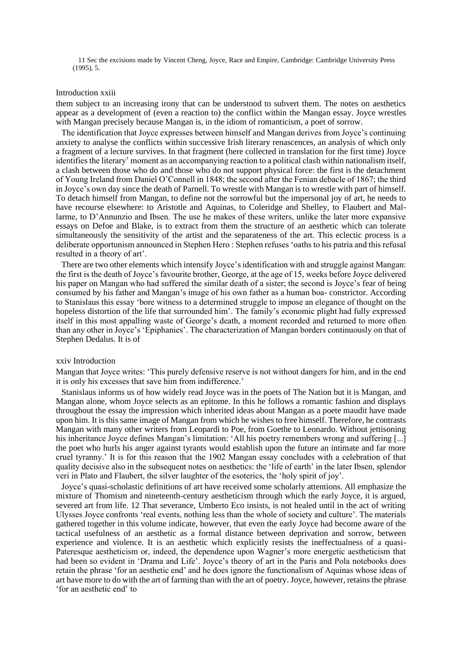11 Sec the excisions made by Vincent Cheng, Joyce, Race and Empire, Cambridge: Cambridge University Press (1995), 5.

#### Introduction xxiii

them subject to an increasing irony that can be understood to subvert them. The notes on aesthetics appear as a development of (even a reaction to) the conflict within the Mangan essay. Joyce wrestles with Mangan precisely because Mangan is, in the idiom of romanticism, a poet of sorrow.

The identification that Joyce expresses between himself and Mangan derives from Joyce's continuing anxiety to analyse the conflicts within successive Irish literary renascences, an analysis of which only a fragment of a lecture survives. In that fragment (here collected in translation for the first time) Joyce identifies the literary' moment as an accompanying reaction to a political clash within nationalism itself, a clash between those who do and those who do not support physical force: the first is the detachment of Young Ireland from Daniel O'Connell in 1848; the second after the Fenian debacle of 1867; the third in Joyce's own day since the death of Parnell. To wrestle with Mangan is to wrestle with part of himself. To detach himself from Mangan, to define not the sorrowful but the impersonal joy of art, he needs to have recourse elsewhere: to Aristotle and Aquinas, to Coleridge and Shelley, to Flaubert and Mallarme, to D'Annunzio and Ibsen. The use he makes of these writers, unlike the later more expansive essays on Defoe and Blake, is to extract from them the structure of an aesthetic which can tolerate simultaneously the sensitivity of the artist and the separateness of the art. This eclectic process is a deliberate opportunism announced in Stephen Hero : Stephen refuses 'oaths to his patria and this refusal resulted in a theory of art'.

There are two other elements which intensify Joyce's identification with and struggle against Mangan: the first is the death of Joyce's favourite brother, George, at the age of 15, weeks before Joyce delivered his paper on Mangan who had suffered the similar death of a sister; the second is Joyce's fear of being consumed by his father and Mangan's image of his own father as a human boa- constrictor. According to Stanislaus this essay 'bore witness to a determined struggle to impose an elegance of thought on the hopeless distortion of the life that surrounded him'. The family's economic plight had fully expressed itself in this most appalling waste of George's death, a moment recorded and returned to more often than any other in Joyce's 'Epiphanies'. The characterization of Mangan borders continuously on that of Stephen Dedalus. It is of

### xxiv Introduction

Mangan that Joyce writes: 'This purely defensive reserve is not without dangers for him, and in the end it is only his excesses that save him from indifference.'

Stanislaus informs us of how widely read Joyce was in the poets of The Nation but it is Mangan, and Mangan alone, whom Joyce selects as an epitome. In this he follows a romantic fashion and displays throughout the essay the impression which inherited ideas about Mangan as a poete maudit have made upon him. It is this same image of Mangan from which he wishes to free himself. Therefore, he contrasts Mangan with many other writers from Leopardi to Poe, from Goethe to Leonardo. Without jettisoning his inheritance Joyce defines Mangan's limitation: 'All his poetry remembers wrong and suffering [...] the poet who hurls his anger against tyrants would establish upon the future an intimate and far more cruel tyranny.' It is for this reason that the 1902 Mangan essay concludes with a celebration of that quality decisive also in the subsequent notes on aesthetics: the 'life of earth' in the later Ibsen, splendor veri in Plato and Flaubert, the silver laughter of the esoterics, the 'holy spirit of joy'.

Joyce's quasi-scholastic definitions of art have received some scholarly attentions. All emphasize the mixture of Thomism and nineteenth-century aestheticism through which the early Joyce, it is argued, severed art from life. 12 That severance, Umberto Eco insists, is not healed until in the act of writing Ulysses Joyce confronts 'real events, nothing less than the whole of society and culture'. The materials gathered together in this volume indicate, however, that even the early Joyce had become aware of the tactical usefulness of an aesthetic as a formal distance between deprivation and sorrow, between experience and violence. It is an aesthetic which explicitly resists the ineffectualness of a quasi-Pateresque aestheticism or, indeed, the dependence upon Wagner's more energetic aestheticism that had been so evident in 'Drama and Life'. Joyce's theory of art in the Paris and Pola notebooks does retain the phrase 'for an aesthetic end' and he does ignore the functionalism of Aquinas whose ideas of art have more to do with the art of farming than with the art of poetry. Joyce, however, retains the phrase 'for an aesthetic end' to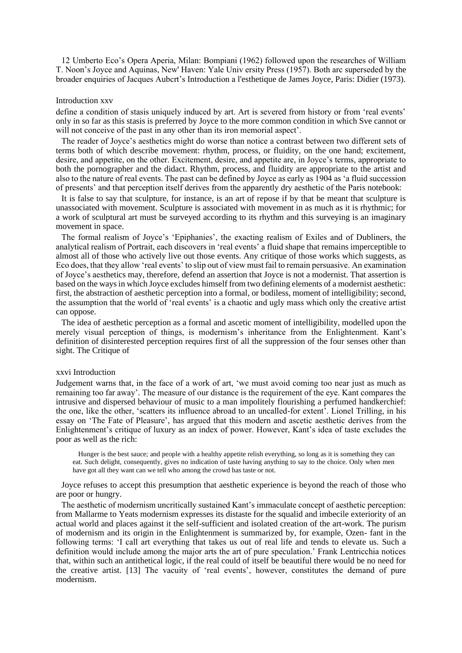12 Umberto Eco's Opera Aperia, Milan: Bompiani (1962) followed upon the researches of William T. Noon's Joyce and Aquinas, New' Haven: Yale Univ ersity Press (1957). Both arc superseded by the broader enquiries of Jacques Aubcrt's Introduction a l'esthetique de James Joyce, Paris: Didier (1973).

# Introduction xxv

define a condition of stasis uniquely induced by art. Art is severed from history or from 'real events' only in so far as this stasis is preferred by Joyce to the more common condition in which Sve cannot or will not conceive of the past in any other than its iron memorial aspect'.

The reader of Joyce's aesthetics might do worse than notice a contrast between two different sets of terms both of which describe movement: rhythm, process, or fluidity, on the one hand; excitement, desire, and appetite, on the other. Excitement, desire, and appetite are, in Joyce's terms, appropriate to both the pornographer and the didact. Rhythm, process, and fluidity are appropriate to the artist and also to the nature of real events. The past can be defined by Joyce as early as 1904 as 'a fluid succession of presents' and that perception itself derives from the apparently dry aesthetic of the Paris notebook:

It is false to say that sculpture, for instance, is an art of repose if by that be meant that sculpture is unassociated with movement. Sculpture is associated with movement in as much as it is rhythmic; for a work of sculptural art must be surveyed according to its rhythm and this surveying is an imaginary movement in space.

The formal realism of Joyce's 'Epiphanies', the exacting realism of Exiles and of Dubliners, the analytical realism of Portrait, each discovers in 'real events' a fluid shape that remains imperceptible to almost all of those who actively live out those events. Any critique of those works which suggests, as Eco does, that they allow 'real events' to slip out of view must fail to remain persuasive. An examination of Joyce's aesthetics may, therefore, defend an assertion that Joyce is not a modernist. That assertion is based on the ways in which Joyce excludes himself from two defining elements of a modernist aesthetic: first, the abstraction of aesthetic perception into a formal, or bodiless, moment of intelligibility; second, the assumption that the world of 'real events' is a chaotic and ugly mass which only the creative artist can oppose.

The idea of aesthetic perception as a formal and ascetic moment of intelligibility, modelled upon the merely visual perception of things, is modernism's inheritance from the Enlightenment. Kant's definition of disinterested perception requires first of all the suppression of the four senses other than sight. The Critique of

## xxvi Introduction

Judgement warns that, in the face of a work of art, 'we must avoid coming too near just as much as remaining too far away'. The measure of our distance is the requirement of the eye. Kant compares the intrusive and dispersed behaviour of music to a man impolitely flourishing a perfumed handkerchief: the one, like the other, 'scatters its influence abroad to an uncalled-for extent'. Lionel Trilling, in his essay on 'The Fate of Pleasure', has argued that this modern and ascetic aesthetic derives from the Enlightenment's critique of luxury as an index of power. However, Kant's idea of taste excludes the poor as well as the rich:

Hunger is the best sauce; and people with a healthy appetite relish everything, so long as it is something they can eat. Such delight, consequently, gives no indication of taste having anything to say to the choice. Only when men have got all they want can we tell who among the crowd has taste or not.

Joyce refuses to accept this presumption that aesthetic experience is beyond the reach of those who are poor or hungry.

The aesthetic of modernism uncritically sustained Kant's immaculate concept of aesthetic perception: from Mallarme to Yeats modernism expresses its distaste for the squalid and imbecile exteriority of an actual world and places against it the self-sufficient and isolated creation of the art-work. The purism of modernism and its origin in the Enlightenment is summarized by, for example, Ozen- fant in the following terms: 'I call art everything that takes us out of real life and tends to elevate us. Such a definition would include among the major arts the art of pure speculation.' Frank Lentricchia notices that, within such an antithetical logic, if the real could of itself be beautiful there would be no need for the creative artist. [13] The vacuity of 'real events', however, constitutes the demand of pure modernism.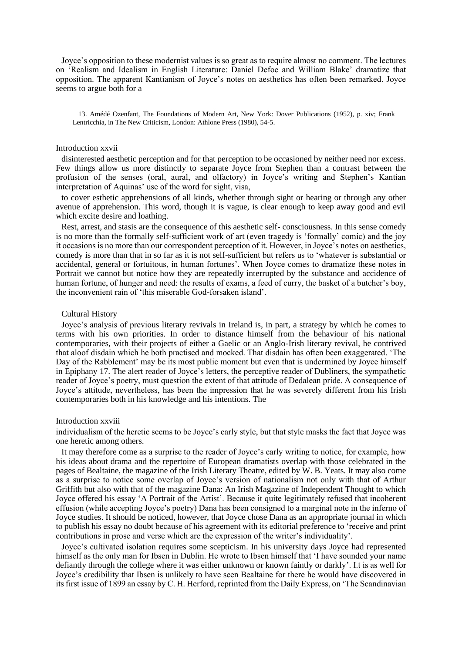Joyce's opposition to these modernist values is so great as to require almost no comment. The lectures on 'Realism and Idealism in English Literature: Daniel Defoe and William Blake' dramatize that opposition. The apparent Kantianism of Joyce's notes on aesthetics has often been remarked. Joyce seems to argue both for a

13. Amédé Ozenfant, The Foundations of Modern Art, New York: Dover Publications (1952), p. xiv; Frank Lentricchia, in The New Criticism, London: Athlone Press (1980), 54-5.

#### Introduction xxvii

disinterested aesthetic perception and for that perception to be occasioned by neither need nor excess. Few things allow us more distinctly to separate Joyce from Stephen than a contrast between the profusion of the senses (oral, aural, and olfactory) in Joyce's writing and Stephen's Kantian interpretation of Aquinas' use of the word for sight, visa,

to cover esthetic apprehensions of all kinds, whether through sight or hearing or through any other avenue of apprehension. This word, though it is vague, is clear enough to keep away good and evil which excite desire and loathing.

Rest, arrest, and stasis are the consequence of this aesthetic self- consciousness. In this sense comedy is no more than the formally self-sufficient work of art (even tragedy is 'formally' comic) and the joy it occasions is no more than our correspondent perception of it. However, in Joyce's notes on aesthetics, comedy is more than that in so far as it is not self-sufficient but refers us to 'whatever is substantial or accidental, general or fortuitous, in human fortunes'. When Joyce comes to dramatize these notes in Portrait we cannot but notice how they are repeatedly interrupted by the substance and accidence of human fortune, of hunger and need: the results of exams, a feed of curry, the basket of a butcher's boy, the inconvenient rain of 'this miserable God-forsaken island'.

## Cultural History

Joyce's analysis of previous literary revivals in Ireland is, in part, a strategy by which he comes to terms with his own priorities. In order to distance himself from the behaviour of his national contemporaries, with their projects of either a Gaelic or an Anglo-Irish literary revival, he contrived that aloof disdain which he both practised and mocked. That disdain has often been exaggerated. 'The Day of the Rabblement' may be its most public moment but even that is undermined by Joyce himself in Epiphany 17. The alert reader of Joyce's letters, the perceptive reader of Dubliners, the sympathetic reader of Joyce's poetry, must question the extent of that attitude of Dedalean pride. A consequence of Joyce's attitude, nevertheless, has been the impression that he was severely different from his Irish contemporaries both in his knowledge and his intentions. The

#### Introduction xxviii

individualism of the heretic seems to be Joyce's early style, but that style masks the fact that Joyce was one heretic among others.

It may therefore come as a surprise to the reader of Joyce's early writing to notice, for example, how his ideas about drama and the repertoire of European dramatists overlap with those celebrated in the pages of Bealtaine, the magazine of the Irish Literary Theatre, edited by W. B. Yeats. It may also come as a surprise to notice some overlap of Joyce's version of nationalism not only with that of Arthur Griffith but also with that of the magazine Dana: An Irish Magazine of Independent Thought to which Joyce offered his essay 'A Portrait of the Artist'. Because it quite legitimately refused that incoherent effusion (while accepting Joyce's poetry) Dana has been consigned to a marginal note in the inferno of Joyce studies. It should be noticed, however, that Joyce chose Dana as an appropriate journal in which to publish his essay no doubt because of his agreement with its editorial preference to 'receive and print contributions in prose and verse which are the expression of the writer's individuality'.

Joyce's cultivated isolation requires some scepticism. In his university days Joyce had represented himself as the only man for Ibsen in Dublin. He wrote to Ibsen himself that 'I have sounded your name defiantly through the college where it was either unknown or known faintly or darkly'. I.t is as well for Joyce's credibility that Ibsen is unlikely to have seen Bealtaine for there he would have discovered in its first issue of 1899 an essay by C. H. Herford, reprinted from the Daily Express, on 'The Scandinavian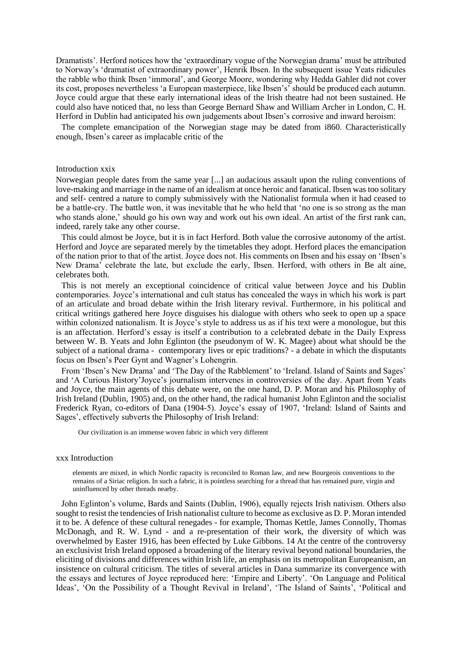Dramatists'. Herford notices how the 'extraordinary vogue of the Norwegian drama' must be attributed to Norway's 'dramatist of extraordinary power', Henrik Ibsen. In the subsequent issue Yeats ridicules the rabble who think Ibsen 'immoral', and George Moore, wondering why Hedda Gahler did not cover its cost, proposes nevertheless 'a European masterpiece, like Ibsen's' should be produced each autumn. Joyce could argue that these early international ideas of the Irish theatre had not been sustained. He could also have noticed that, no less than George Bernard Shaw and William Archer in London, C. H. Herford in Dublin had anticipated his own judgements about Ibsen's corrosive and inward heroism:

The complete emancipation of the Norwegian stage may be dated from i860. Characteristically enough, Ibsen's career as implacable critic of the

#### Introduction xxix

Norwegian people dates from the same year [...] an audacious assault upon the ruling conventions of love-making and marriage in the name of an idealism at once heroic and fanatical. Ibsen was too solitary and self- centred a nature to comply submissively with the Nationalist formula when it had ceased to be a battle-cry. The battle won, it was inevitable that he who held that 'no one is so strong as the man who stands alone,' should go his own way and work out his own ideal. An artist of the first rank can, indeed, rarely take any other course.

This could almost be Joyce, but it is in fact Herford. Both value the corrosive autonomy of the artist. Herford and Joyce are separated merely by the timetables they adopt. Herford places the emancipation of the nation prior to that of the artist. Joyce does not. His comments on Ibsen and his essay on 'Ibsen's New Drama' celebrate the late, but exclude the early, Ibsen. Herford, with others in Be alt aine, celebrates both.

This is not merely an exceptional coincidence of critical value between Joyce and his Dublin contemporaries. Joyce's international and cult status has concealed the ways in which his work is part of an articulate and broad debate within the Irish literary revival. Furthermore, in his political and critical writings gathered here Joyce disguises his dialogue with others who seek to open up a space within colonized nationalism. It is Joyce's style to address us as if his text were a monologue, but this is an affectation. Herford's essay is itself a contribution to a celebrated debate in the Daily Express between W. B. Yeats and John Eglinton (the pseudonym of W. K. Magee) about what should be the subject of a national drama - contemporary lives or epic traditions? - a debate in which the disputants focus on Ibsen's Peer Gynt and Wagner's Lohengrin.

From 'Ibsen's New Drama' and 'The Day of the Rabblement' to 'Ireland. Island of Saints and Sages' and 'A Curious History'Joyce's journalism intervenes in controversies of the day. Apart from Yeats and Joyce, the main agents of this debate were, on the one hand, D. P. Moran and his Philosophy of Irish Ireland (Dublin, 1905) and, on the other hand, the radical humanist John Eglinton and the socialist Frederick Ryan, co-editors of Dana (1904-5). Joyce's essay of 1907, 'Ireland: Island of Saints and Sages', effectively subverts the Philosophy of Irish Ireland:

Our civilization is an immense woven fabric in which very different

## xxx Introduction

elements are mixed, in which Nordic rapacity is reconciled to Roman law, and new Bourgeois conventions to the remains of a Siriac religion. In such a fabric, it is pointless searching for a thread that has remained pure, virgin and uninfluenced by other threads nearby.

John Eglinton's volume, Bards and Saints (Dublin, 1906), equally rejects Irish nativism. Others also sought to resist the tendencies of Irish nationalist culture to become as exclusive as D. P. Moran intended it to be. A defence of these cultural renegades - for example, Thomas Kettle, James Connolly, Thomas McDonagh, and R. W. Lynd - and a re-presentation of their work, the diversity of which was overwhelmed by Easter 1916, has been effected by Luke Gibbons. 14 At the centre of the controversy an exclusivist Irish Ireland opposed a broadening of the literary revival beyond national boundaries, the eliciting of divisions and differences within Irish life, an emphasis on its metropolitan Europeanism, an insistence on cultural criticism. The titles of several articles in Dana summarize its convergence with the essays and lectures of Joyce reproduced here: 'Empire and Liberty'. 'On Language and Political Ideas', 'On the Possibility of a Thought Revival in Ireland', 'The Island of Saints', 'Political and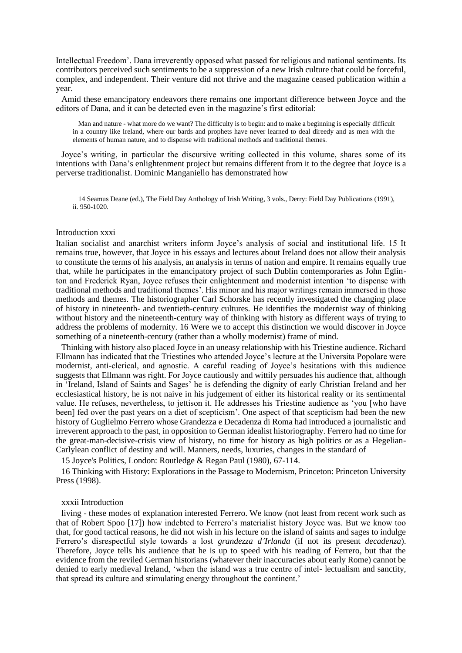Intellectual Freedom'. Dana irreverently opposed what passed for religious and national sentiments. Its contributors perceived such sentiments to be a suppression of a new Irish culture that could be forceful, complex, and independent. Their venture did not thrive and the magazine ceased publication within a year.

Amid these emancipatory endeavors there remains one important difference between Joyce and the editors of Dana, and it can be detected even in the magazine's first editorial:

Man and nature - what more do we want? The difficulty is to begin: and to make a beginning is especially difficult in a country like Ireland, where our bards and prophets have never learned to deal direedy and as men with the elements of human nature, and to dispense with traditional methods and traditional themes.

Joyce's writing, in particular the discursive writing collected in this volume, shares some of its intentions with Dana's enlightenment project but remains different from it to the degree that Joyce is a perverse traditionalist. Dominic Manganiello has demonstrated how

14 Seamus Deane (ed.), The Field Day Anthology of Irish Writing, 3 vols., Derry: Field Day Publications (1991), ii. 950-1020.

#### Introduction xxxi

Italian socialist and anarchist writers inform Joyce's analysis of social and institutional life. 15 It remains true, however, that Joyce in his essays and lectures about Ireland does not allow their analysis to constitute the terms of his analysis, an analysis in terms of nation and empire. It remains equally true that, while he participates in the emancipatory project of such Dublin contemporaries as John Eglinton and Frederick Ryan, Joyce refuses their enlightenment and modernist intention 'to dispense with traditional methods and traditional themes'. His minor and his major writings remain immersed in those methods and themes. The historiographer Carl Schorske has recently investigated the changing place of history in nineteenth- and twentieth-century cultures. He identifies the modernist way of thinking without history and the nineteenth-century way of thinking with history as different ways of trying to address the problems of modernity. 16 Were we to accept this distinction we would discover in Joyce something of a nineteenth-century (rather than a wholly modernist) frame of mind.

Thinking with history also placed Joyce in an uneasy relationship with his Triestine audience. Richard Ellmann has indicated that the Triestines who attended Joyce's lecture at the Universita Popolare were modernist, anti-clerical, and agnostic. A careful reading of Joyce's hesitations with this audience suggests that Ellmann was right. For Joyce cautiously and wittily persuades his audience that, although in 'Ireland, Island of Saints and Sages' he is defending the dignity of early Christian Ireland and her ecclesiastical history, he is not naive in his judgement of either its historical reality or its sentimental value. He refuses, nevertheless, to jettison it. He addresses his Triestine audience as 'you [who have been] fed over the past years on a diet of scepticism'. One aspect of that scepticism had been the new history of Guglielmo Ferrero whose Grandezza e Decadenza di Roma had introduced a journalistic and irreverent approach to the past, in opposition to German idealist historiography. Ferrero had no time for the great-man-decisive-crisis view of history, no time for history as high politics or as a Hegelian-Carlylean conflict of destiny and will. Manners, needs, luxuries, changes in the standard of

### 15 Joyce's Politics, London: Routledge & Regan Paul (1980), 67-114.

16 Thinking with History: Explorations in the Passage to Modernism, Princeton: Princeton University Press (1998).

#### xxxii Introduction

living - these modes of explanation interested Ferrero. We know (not least from recent work such as that of Robert Spoo [17]) how indebted to Ferrero's materialist history Joyce was. But we know too that, for good tactical reasons, he did not wish in his lecture on the island of saints and sages to indulge Ferrero's disrespectful style towards a lost *grandezza d'Irlanda* (if not its present *decadenza*). Therefore, Joyce tells his audience that he is up to speed with his reading of Ferrero, but that the evidence from the reviled German historians (whatever their inaccuracies about early Rome) cannot be denied to early medieval Ireland, 'when the island was a true centre of intel- lectualism and sanctity, that spread its culture and stimulating energy throughout the continent.'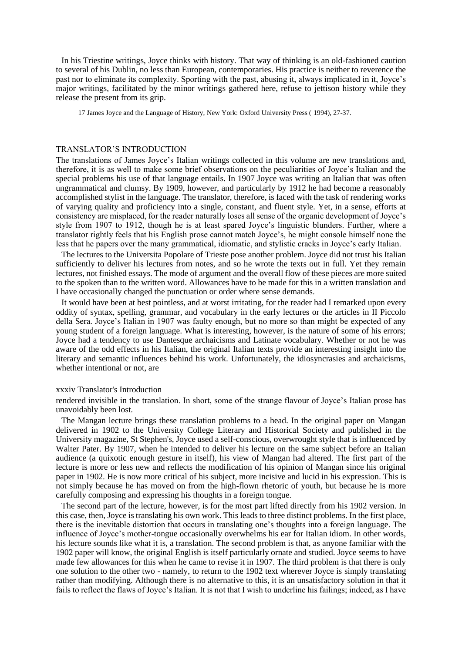In his Triestine writings, Joyce thinks with history. That way of thinking is an old-fashioned caution to several of his Dublin, no less than European, contemporaries. His practice is neither to reverence the past nor to eliminate its complexity. Sporting with the past, abusing it, always implicated in it, Joyce's major writings, facilitated by the minor writings gathered here, refuse to jettison history while they release the present from its grip.

17 James Joyce and the Language of History, New York: Oxford University Press ( 1994), 27-37.

# TRANSLATOR'S INTRODUCTION

The translations of James Joyce's Italian writings collected in this volume are new translations and, therefore, it is as well to make some brief observations on the peculiarities of Joyce's Italian and the special problems his use of that language entails. In 1907 Joyce was writing an Italian that was often ungrammatical and clumsy. By 1909, however, and particularly by 1912 he had become a reasonably accomplished stylist in the language. The translator, therefore, is faced with the task of rendering works of varying quality and proficiency into a single, constant, and fluent style. Yet, in a sense, efforts at consistency are misplaced, for the reader naturally loses all sense of the organic development of Joyce's style from 1907 to 1912, though he is at least spared Joyce's linguistic blunders. Further, where a translator rightly feels that his English prose cannot match Joyce's, he might console himself none the less that he papers over the many grammatical, idiomatic, and stylistic cracks in Joyce's early Italian.

The lectures to the Universita Popolare of Trieste pose another problem. Joyce did not trust his Italian sufficiently to deliver his lectures from notes, and so he wrote the texts out in full. Yet they remain lectures, not finished essays. The mode of argument and the overall flow of these pieces are more suited to the spoken than to the written word. Allowances have to be made for this in a written translation and I have occasionally changed the punctuation or order where sense demands.

It would have been at best pointless, and at worst irritating, for the reader had I remarked upon every oddity of syntax, spelling, grammar, and vocabulary in the early lectures or the articles in II Piccolo della Sera. Joyce's Italian in 1907 was faulty enough, but no more so than might be expected of any young student of a foreign language. What is interesting, however, is the nature of some of his errors; Joyce had a tendency to use Dantesque archaicisms and Latinate vocabulary. Whether or not he was aware of the odd effects in his Italian, the original Italian texts provide an interesting insight into the literary and semantic influences behind his work. Unfortunately, the idiosyncrasies and archaicisms, whether intentional or not, are

# xxxiv Translator's Introduction

rendered invisible in the translation. In short, some of the strange flavour of Joyce's Italian prose has unavoidably been lost.

The Mangan lecture brings these translation problems to a head. In the original paper on Mangan delivered in 1902 to the University College Literary and Historical Society and published in the University magazine, St Stephen's, Joyce used a self-conscious, overwrought style that is influenced by Walter Pater. By 1907, when he intended to deliver his lecture on the same subject before an Italian audience (a quixotic enough gesture in itself), his view of Mangan had altered. The first part of the lecture is more or less new and reflects the modification of his opinion of Mangan since his original paper in 1902. He is now more critical of his subject, more incisive and lucid in his expression. This is not simply because he has moved on from the high-flown rhetoric of youth, but because he is more carefully composing and expressing his thoughts in a foreign tongue.

The second part of the lecture, however, is for the most part lifted directly from his 1902 version. In this case, then, Joyce is translating his own work. This leads to three distinct problems. In the first place, there is the inevitable distortion that occurs in translating one's thoughts into a foreign language. The influence of Joyce's mother-tongue occasionally overwhelms his ear for Italian idiom. In other words, his lecture sounds like what it is, a translation. The second problem is that, as anyone familiar with the 1902 paper will know, the original English is itself particularly ornate and studied. Joyce seems to have made few allowances for this when he came to revise it in 1907. The third problem is that there is only one solution to the other two - namely, to return to the 1902 text wherever Joyce is simply translating rather than modifying. Although there is no alternative to this, it is an unsatisfactory solution in that it fails to reflect the flaws of Joyce's Italian. It is not that I wish to underline his failings; indeed, as I have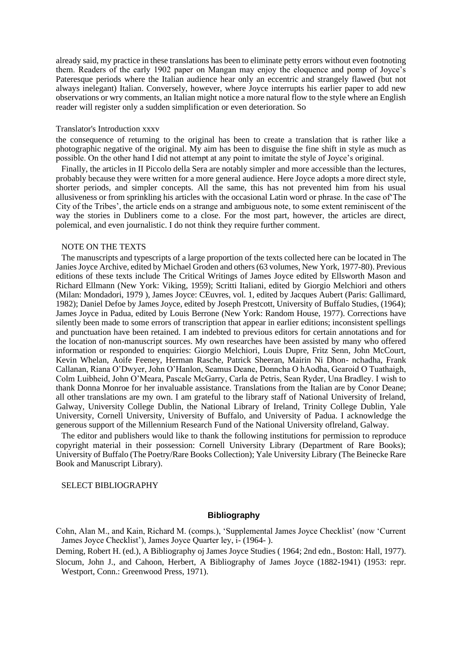already said, my practice in these translations has been to eliminate petty errors without even footnoting them. Readers of the early 1902 paper on Mangan may enjoy the eloquence and pomp of Joyce's Pateresque periods where the Italian audience hear only an eccentric and strangely flawed (but not always inelegant) Italian. Conversely, however, where Joyce interrupts his earlier paper to add new observations or wry comments, an Italian might notice a more natural flow to the style where an English reader will register only a sudden simplification or even deterioration. So

#### Translator's Introduction xxxv

the consequence of returning to the original has been to create a translation that is rather like a photographic negative of the original. My aim has been to disguise the fine shift in style as much as possible. On the other hand I did not attempt at any point to imitate the style of Joyce's original.

Finally, the articles in II Piccolo della Sera are notably simpler and more accessible than the lectures, probably because they were written for a more general audience. Here Joyce adopts a more direct style, shorter periods, and simpler concepts. All the same, this has not prevented him from his usual allusiveness or from sprinkling his articles with the occasional Latin word or phrase. In the case of'The City of the Tribes', the article ends on a strange and ambiguous note, to some extent reminiscent of the way the stories in Dubliners come to a close. For the most part, however, the articles are direct, polemical, and even journalistic. I do not think they require further comment.

#### NOTE ON THE TEXTS

The manuscripts and typescripts of a large proportion of the texts collected here can be located in The Janies Joyce Archive, edited by Michael Groden and others (63 volumes, New York, 1977-80). Previous editions of these texts include The Critical Writings of James Joyce edited by Ellsworth Mason and Richard Ellmann (New York: Viking, 1959); Scritti Italiani, edited by Giorgio Melchiori and others (Milan: Mondadori, 1979 ), James Joyce: CEuvres, vol. 1, edited by Jacques Aubert (Paris: Gallimard, 1982); Daniel Defoe by James Joyce, edited by Joseph Prestcott, University of Buffalo Studies, (1964); James Joyce in Padua, edited by Louis Berrone (New York: Random House, 1977). Corrections have silently been made to some errors of transcription that appear in earlier editions; inconsistent spellings and punctuation have been retained. I am indebted to previous editors for certain annotations and for the location of non-manuscript sources. My own researches have been assisted by many who offered information or responded to enquiries: Giorgio Melchiori, Louis Dupre, Fritz Senn, John McCourt, Kevin Whelan, Aoife Feeney, Herman Rasche, Patrick Sheeran, Mairin Ni Dhon- nchadha, Frank Callanan, Riana O'Dwyer, John O'Hanlon, Seamus Deane, Donncha O hAodha, Gearoid O Tuathaigh, Colm Luibheid, John O'Meara, Pascale McGarry, Carla de Petris, Sean Ryder, Una Bradley. I wish to thank Donna Monroe for her invaluable assistance. Translations from the Italian are by Conor Deane; all other translations are my own. I am grateful to the library staff of National University of Ireland, Galway, University College Dublin, the National Library of Ireland, Trinity College Dublin, Yale University, Cornell University, University of Buffalo, and University of Padua. I acknowledge the generous support of the Millennium Research Fund of the National University oflreland, Galway.

The editor and publishers would like to thank the following institutions for permission to reproduce copyright material in their possession: Cornell University Library (Department of Rare Books); University of Buffalo (The Poetry/Rare Books Collection); Yale University Library (The Beinecke Rare Book and Manuscript Library).

#### SELECT BIBLIOGRAPHY

# **Bibliography**

Cohn, Alan M., and Kain, Richard M. (comps.), 'Supplemental James Joyce Checklist' (now 'Current James Joyce Checklist'), James Joyce Quarter ley, i- (1964- ).

Deming, Robert H. (ed.), A Bibliography oj James Joyce Studies ( 1964; 2nd edn., Boston: Hall, 1977).

Slocum, John J., and Cahoon, Herbert, A Bibliography of James Joyce (1882-1941) (1953: repr. Westport, Conn.: Greenwood Press, 1971).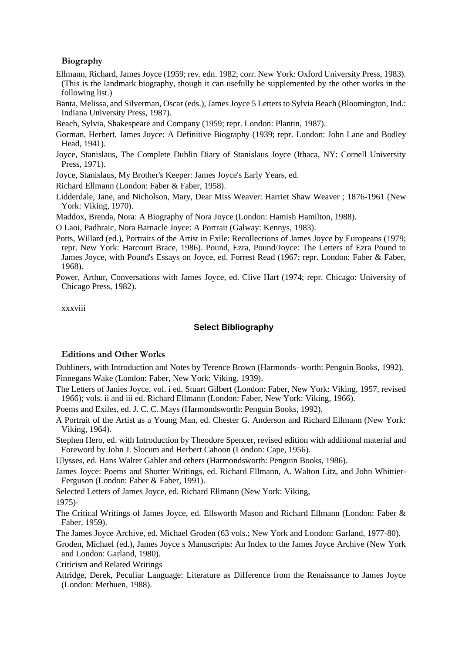# **Biography**

- Ellmann, Richard, James Joyce (1959; rev. edn. 1982; corr. New York: Oxford University Press, 1983). (This is the landmark biography, though it can usefully be supplemented by the other works in the following list.)
- Banta, Melissa, and Silverman, Oscar (eds.), James Joyce 5 Letters to Sylvia Beach (Bloomington, Ind.: Indiana University Press, 1987).
- Beach, Sylvia, Shakespeare and Company (1959; repr. London: Plantin, 1987).
- Gorman, Herbert, James Joyce: A Definitive Biography (1939; repr. London: John Lane and Bodley Head, 1941).
- Joyce, Stanislaus, The Complete Dublin Diary of Stanislaus Joyce (Ithaca, NY: Cornell University Press, 1971).
- Joyce, Stanislaus, My Brother's Keeper: James Joyce's Early Years, ed.

Richard Ellmann (London: Faber & Faber, 1958).

- Lidderdale, Jane, and Nicholson, Mary, Dear Miss Weaver: Harriet Shaw Weaver ; 1876-1961 (New York: Viking, 1970).
- Maddox, Brenda, Nora: A Biography of Nora Joyce (London: Hamish Hamilton, 1988).
- O Laoi, Padhraic, Nora Barnacle Joyce: A Portrait (Galway: Kennys, 1983).
- Potts, Willard (ed.), Portraits of the Artist in Exile: Recollections of James Joyce by Europeans (1979; repr. New York: Harcourt Brace, 1986). Pound, Ezra, Pound/Joyce: The Letters of Ezra Pound to James Joyce, with Pound's Essays on Joyce, ed. Forrest Read (1967; repr. London: Faber & Faber, 1968).
- Power, Arthur, Conversations with James Joyce, ed. Clive Hart (1974; repr. Chicago: University of Chicago Press, 1982).

xxxviii

# **Select Bibliography**

# **Editions and Other Works**

Dubliners, with Introduction and Notes by Terence Brown (Harmonds- worth: Penguin Books, 1992). Finnegans Wake (London: Faber, New York: Viking, 1939).

- The Letters of Janies Joyce, vol. i ed. Stuart Gilbert (London: Faber, New York: Viking, 1957, revised 1966); vols. ii and iii ed. Richard Ellmann (London: Faber, New York: Viking, 1966).
- Poems and Exiles, ed. J. C. C. Mays (Harmondsworth: Penguin Books, 1992).
- A Portrait of the Artist as a Young Man, ed. Chester G. Anderson and Richard Ellmann (New York: Viking, 1964).
- Stephen Hero, ed. with Introduction by Theodore Spencer, revised edition with additional material and Foreword by John J. Slocum and Herbert Cahoon (London: Cape, 1956).
- Ulysses, ed. Hans Walter Gabler and others (Harmondsworth: Penguin Books, 1986).
- James Joyce: Poems and Shorter Writings, ed. Richard Ellmann, A. Walton Litz, and John Whittier-Ferguson (London: Faber & Faber, 1991).

Selected Letters of James Joyce, ed. Richard Ellmann (New York: Viking, 1975)-

- The Critical Writings of James Joyce, ed. Ellsworth Mason and Richard Ellmann (London: Faber & Faber, 1959).
- The James Joyce Archive, ed. Michael Groden (63 vols.; New York and London: Garland, 1977-80).
- Groden, Michael (ed.), James Joyce s Manuscripts: An Index to the James Joyce Archive (New York and London: Garland, 1980).

Criticism and Related Writings

Attridge, Derek, Peculiar Language: Literature as Difference from the Renaissance to James Joyce (London: Methuen, 1988).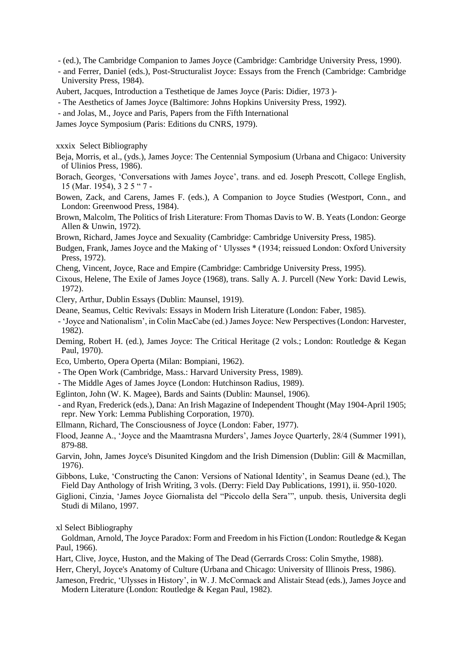- (ed.), The Cambridge Companion to James Joyce (Cambridge: Cambridge University Press, 1990).

- and Ferrer, Daniel (eds.), Post-Structuralist Joyce: Essays from the French (Cambridge: Cambridge University Press, 1984).

Aubert, Jacques, Introduction a Testhetique de James Joyce (Paris: Didier, 1973 )-

- The Aesthetics of James Joyce (Baltimore: Johns Hopkins University Press, 1992).
- and Jolas, M., Joyce and Paris, Papers from the Fifth International

James Joyce Symposium (Paris: Editions du CNRS, 1979).

xxxix Select Bibliography

- Beja, Morris, et al., (yds.), James Joyce: The Centennial Symposium (Urbana and Chigaco: University of Ulinios Press, 1986).
- Borach, Georges, 'Conversations with James Joyce', trans. and ed. Joseph Prescott, College English, 15 (Mar. 1954), 3 2 5 " 7 -
- Bowen, Zack, and Carens, James F. (eds.), A Companion to Joyce Studies (Westport, Conn., and London: Greenwood Press, 1984).
- Brown, Malcolm, The Politics of Irish Literature: From Thomas Davis to W. B. Yeats (London: George Allen & Unwin, 1972).
- Brown, Richard, James Joyce and Sexuality (Cambridge: Cambridge University Press, 1985).
- Budgen, Frank, James Joyce and the Making of ' Ulysses \* (1934; reissued London: Oxford University Press, 1972).
- Cheng, Vincent, Joyce, Race and Empire (Cambridge: Cambridge University Press, 1995).
- Cixous, Helene, The Exile of James Joyce (1968), trans. Sally A. J. Purcell (New York: David Lewis, 1972).

Clery, Arthur, Dublin Essays (Dublin: Maunsel, 1919).

- Deane, Seamus, Celtic Revivals: Essays in Modern Irish Literature (London: Faber, 1985).
- 'Joyce and Nationalism', in Colin MacCabe (ed.) James Joyce: New Perspectives (London: Harvester, 1982).
- Deming, Robert H. (ed.), James Joyce: The Critical Heritage (2 vols.; London: Routledge & Kegan Paul, 1970).
- Eco, Umberto, Opera Operta (Milan: Bompiani, 1962).
- The Open Work (Cambridge, Mass.: Harvard University Press, 1989).
- The Middle Ages of James Joyce (London: Hutchinson Radius, 1989).
- Eglinton, John (W. K. Magee), Bards and Saints (Dublin: Maunsel, 1906).
- and Ryan, Frederick (eds.), Dana: An Irish Magazine of Independent Thought (May 1904-April 1905; repr. New York: Lemma Publishing Corporation, 1970).

Ellmann, Richard, The Consciousness of Joyce (London: Faber, 1977).

- Flood, Jeanne A., 'Joyce and the Maamtrasna Murders', James Joyce Quarterly, 28/4 (Summer 1991), 879-88.
- Garvin, John, James Joyce's Disunited Kingdom and the Irish Dimension (Dublin: Gill & Macmillan, 1976).
- Gibbons, Luke, 'Constructing the Canon: Versions of National Identity', in Seamus Deane (ed.), The Field Day Anthology of Irish Writing, 3 vols. (Derry: Field Day Publications, 1991), ii. 950-1020.
- Giglioni, Cinzia, 'James Joyce Giornalista del "Piccolo della Sera'", unpub. thesis, Universita degli Studi di Milano, 1997.

xl Select Bibliography

Goldman, Arnold, The Joyce Paradox: Form and Freedom in his Fiction (London: Routledge & Kegan Paul, 1966).

- Hart, Clive, Joyce, Huston, and the Making of The Dead (Gerrards Cross: Colin Smythe, 1988).
- Herr, Cheryl, Joyce's Anatomy of Culture (Urbana and Chicago: University of Illinois Press, 1986).
- Jameson, Fredric, 'Ulysses in History', in W. J. McCormack and Alistair Stead (eds.), James Joyce and Modern Literature (London: Routledge & Kegan Paul, 1982).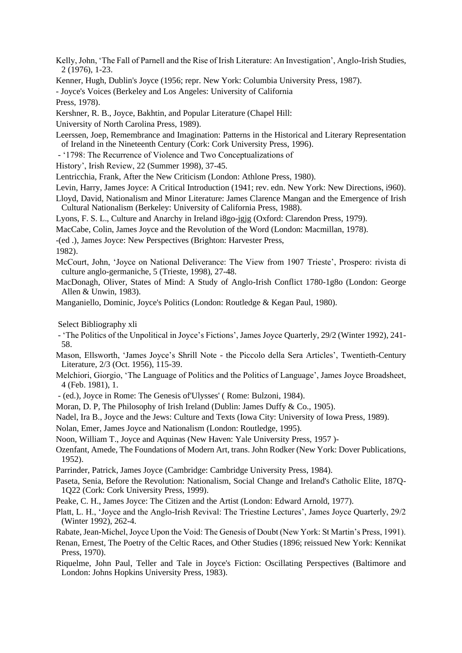Kelly, John, 'The Fall of Parnell and the Rise of Irish Literature: An Investigation', Anglo-Irish Studies, 2 (1976), 1-23.

Kenner, Hugh, Dublin's Joyce (1956; repr. New York: Columbia University Press, 1987).

- Joyce's Voices (Berkeley and Los Angeles: University of California Press, 1978).

Kershner, R. B., Joyce, Bakhtin, and Popular Literature (Chapel Hill:

University of North Carolina Press, 1989).

Leerssen, Joep, Remembrance and Imagination: Patterns in the Historical and Literary Representation of Ireland in the Nineteenth Century (Cork: Cork University Press, 1996).

- '1798: The Recurrence of Violence and Two Conceptualizations of

History', Irish Review, 22 (Summer 1998), 37-45.

Lentricchia, Frank, After the New Criticism (London: Athlone Press, 1980).

Levin, Harry, James Joyce: A Critical Introduction (1941; rev. edn. New York: New Directions, i960).

Lloyd, David, Nationalism and Minor Literature: James Clarence Mangan and the Emergence of Irish Cultural Nationalism (Berkeley: University of California Press, 1988).

Lyons, F. S. L., Culture and Anarchy in Ireland i8go-jgjg (Oxford: Clarendon Press, 1979).

MacCabe, Colin, James Joyce and the Revolution of the Word (London: Macmillan, 1978).

-(ed .), James Joyce: New Perspectives (Brighton: Harvester Press,

1982).

McCourt, John, 'Joyce on National Deliverance: The View from 1907 Trieste', Prospero: rivista di culture anglo-germaniche, 5 (Trieste, 1998), 27-48.

MacDonagh, Oliver, States of Mind: A Study of Anglo-Irish Conflict 1780-1g8o (London: George Allen & Unwin, 1983).

Manganiello, Dominic, Joyce's Politics (London: Routledge & Kegan Paul, 1980).

Select Bibliography xli

- 'The Politics of the Unpolitical in Joyce's Fictions', James Joyce Quarterly, 29/2 (Winter 1992), 241- 58.

Mason, Ellsworth, 'James Joyce's Shrill Note - the Piccolo della Sera Articles', Twentieth-Century Literature, 2/3 (Oct. 1956), 115-39.

Melchiori, Giorgio, 'The Language of Politics and the Politics of Language', James Joyce Broadsheet, 4 (Feb. 1981), 1.

- (ed.), Joyce in Rome: The Genesis of'Ulysses' ( Rome: Bulzoni, 1984).

Moran, D. P, The Philosophy of Irish Ireland (Dublin: James Duffy & Co., 1905).

Nadel, Ira B., Joyce and the Jews: Culture and Texts (Iowa City: University of Iowa Press, 1989).

Nolan, Emer, James Joyce and Nationalism (London: Routledge, 1995).

Noon, William T., Joyce and Aquinas (New Haven: Yale University Press, 1957 )-

Ozenfant, Amede, The Foundations of Modern Art, trans. John Rodker (New York: Dover Publications, 1952).

Parrinder, Patrick, James Joyce (Cambridge: Cambridge University Press, 1984).

Paseta, Senia, Before the Revolution: Nationalism, Social Change and Ireland's Catholic Elite, 187Q-1Q22 (Cork: Cork University Press, 1999).

Peake, C. H., James Joyce: The Citizen and the Artist (London: Edward Arnold, 1977).

Platt, L. H., 'Joyce and the Anglo-Irish Revival: The Triestine Lectures', James Joyce Quarterly, 29/2 (Winter 1992), 262-4.

Rabate, Jean-Michel, Joyce Upon the Void: The Genesis of Doubt (New York: St Martin's Press, 1991).

Renan, Ernest, The Poetry of the Celtic Races, and Other Studies (1896; reissued New York: Kennikat Press, 1970).

Riquelme, John Paul, Teller and Tale in Joyce's Fiction: Oscillating Perspectives (Baltimore and London: Johns Hopkins University Press, 1983).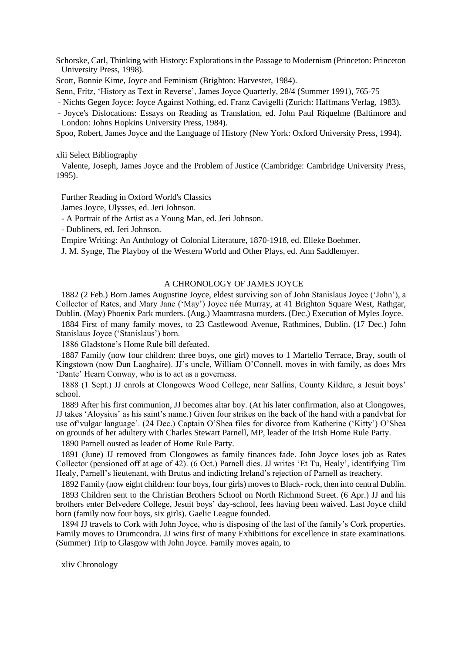Schorske, Carl, Thinking with History: Explorations in the Passage to Modernism (Princeton: Princeton University Press, 1998).

Scott, Bonnie Kime, Joyce and Feminism (Brighton: Harvester, 1984).

Senn, Fritz, 'History as Text in Reverse', James Joyce Quarterly, 28/4 (Summer 1991), 765-75

- Nichts Gegen Joyce: Joyce Against Nothing, ed. Franz Cavigelli (Zurich: Haffmans Verlag, 1983).

- Joyce's Dislocations: Essays on Reading as Translation, ed. John Paul Riquelme (Baltimore and London: Johns Hopkins University Press, 1984).

Spoo, Robert, James Joyce and the Language of History (New York: Oxford University Press, 1994).

xlii Select Bibliography

Valente, Joseph, James Joyce and the Problem of Justice (Cambridge: Cambridge University Press, 1995).

Further Reading in Oxford World's Classics

James Joyce, Ulysses, ed. Jeri Johnson.

- A Portrait of the Artist as a Young Man, ed. Jeri Johnson.

- Dubliners, ed. Jeri Johnson.

Empire Writing: An Anthology of Colonial Literature, 1870-1918, ed. Elleke Boehmer.

J. M. Synge, The Playboy of the Western World and Other Plays, ed. Ann Saddlemyer.

# A CHRONOLOGY OF JAMES JOYCE

1882 (2 Feb.) Born James Augustine Joyce, eldest surviving son of John Stanislaus Joyce ('John'), a Collector of Rates, and Mary Jane ('May') Joyce née Murray, at 41 Brighton Square West, Rathgar, Dublin. (May) Phoenix Park murders. (Aug.) Maamtrasna murders. (Dec.) Execution of Myles Joyce.

1884 First of many family moves, to 23 Castlewood Avenue, Rathmines, Dublin. (17 Dec.) John Stanislaus Joyce ('Stanislaus') born.

1886 Gladstone's Home Rule bill defeated.

1887 Family (now four children: three boys, one girl) moves to 1 Martello Terrace, Bray, south of Kingstown (now Dun Laoghaire). JJ's uncle, William O'Connell, moves in with family, as does Mrs 'Dante' Hearn Conway, who is to act as a governess.

1888 (1 Sept.) JJ enrols at Clongowes Wood College, near Sallins, County Kildare, a Jesuit boys' school.

1889 After his first communion, JJ becomes altar boy. (At his later confirmation, also at Clongowes, JJ takes 'Aloysius' as his saint's name.) Given four strikes on the back of the hand with a pandvbat for use of'vulgar language'. (24 Dec.) Captain O'Shea files for divorce from Katherine ('Kitty') O'Shea on grounds of her adultery with Charles Stewart Parnell, MP, leader of the Irish Home Rule Party.

1890 Parnell ousted as leader of Home Rule Party.

1891 (June) JJ removed from Clongowes as family finances fade. John Joyce loses job as Rates Collector (pensioned off at age of 42). (6 Oct.) Parnell dies. JJ writes 'Et Tu, Healy', identifying Tim Healy, Parnell's lieutenant, with Brutus and indicting Ireland's rejection of Parnell as treachery.

1892 Family (now eight children: four boys, four girls) moves to Black- rock, then into central Dublin.

1893 Children sent to the Christian Brothers School on North Richmond Street. (6 Apr.) JJ and his brothers enter Belvedere College, Jesuit boys' day-school, fees having been waived. Last Joyce child born (family now four boys, six girls). Gaelic League founded.

1894 JJ travels to Cork with John Joyce, who is disposing of the last of the family's Cork properties. Family moves to Drumcondra. JJ wins first of many Exhibitions for excellence in state examinations. (Summer) Trip to Glasgow with John Joyce. Family moves again, to

xliv Chronology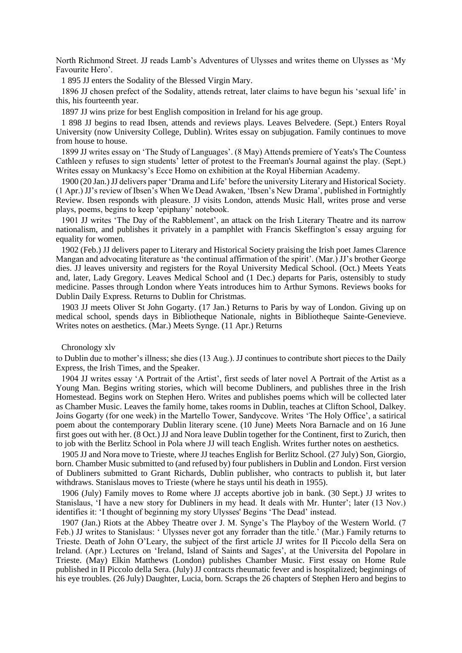North Richmond Street. JJ reads Lamb's Adventures of Ulysses and writes theme on Ulysses as 'My Favourite Hero'.

1 895 JJ enters the Sodality of the Blessed Virgin Mary.

1896 JJ chosen prefect of the Sodality, attends retreat, later claims to have begun his 'sexual life' in this, his fourteenth year.

1897 JJ wins prize for best English composition in Ireland for his age group.

1 898 JJ begins to read Ibsen, attends and reviews plays. Leaves Belvedere. (Sept.) Enters Royal University (now University College, Dublin). Writes essay on subjugation. Family continues to move from house to house.

1899 JJ writes essay on 'The Study of Languages'. (8 May) Attends premiere of Yeats's The Countess Cathleen y refuses to sign students' letter of protest to the Freeman's Journal against the play. (Sept.) Writes essay on Munkacsy's Ecce Homo on exhibition at the Royal Hibernian Academy.

1900 (20 Jan.)JJ delivers paper 'Drama and Life' before the university Literary and Historical Society. (1 Apr.) JJ's review of Ibsen's When We Dead Awaken, 'Ibsen's New Drama', published in Fortnightly Review. Ibsen responds with pleasure. JJ visits London, attends Music Hall, writes prose and verse plays, poems, begins to keep 'epiphany' notebook.

1901 JJ writes 'The Day of the Rabblement', an attack on the Irish Literary Theatre and its narrow nationalism, and publishes it privately in a pamphlet with Francis Skeffington's essay arguing for equality for women.

1902 (Feb.) JJ delivers paper to Literary and Historical Society praising the Irish poet James Clarence Mangan and advocating literature as 'the continual affirmation of the spirit'. (Mar.) JJ's brother George dies. JJ leaves university and registers for the Royal University Medical School. (Oct.) Meets Yeats and, later, Lady Gregory. Leaves Medical School and (1 Dec.) departs for Paris, ostensibly to study medicine. Passes through London where Yeats introduces him to Arthur Symons. Reviews books for Dublin Daily Express. Returns to Dublin for Christmas.

1903 JJ meets Oliver St John Gogarty. (17 Jan.) Returns to Paris by way of London. Giving up on medical school, spends days in Bibliotheque Nationale, nights in Bibliotheque Sainte-Genevieve. Writes notes on aesthetics. (Mar.) Meets Synge. (11 Apr.) Returns

#### Chronology xlv

to Dublin due to mother's illness; she dies (13 Aug.). JJ continues to contribute short pieces to the Daily Express, the Irish Times, and the Speaker.

1904 JJ writes essay 'A Portrait of the Artist', first seeds of later novel A Portrait of the Artist as a Young Man. Begins writing stories, which will become Dubliners, and publishes three in the Irish Homestead. Begins work on Stephen Hero. Writes and publishes poems which will be collected later as Chamber Music. Leaves the family home, takes rooms in Dublin, teaches at Clifton School, Dalkey. Joins Gogarty (for one week) in the Martello Tower, Sandycove. Writes 'The Holy Office', a satirical poem about the contemporary Dublin literary scene. (10 June) Meets Nora Barnacle and on 16 June first goes out with her. (8 Oct.) JJ and Nora leave Dublin together for the Continent, first to Zurich, then to job with the Berlitz School in Pola where JJ will teach English. Writes further notes on aesthetics.

1905 JJ and Nora move to Trieste, where JJ teaches English for Berlitz School. (27 July) Son, Giorgio, born. Chamber Music submitted to (and refused by) four publishers in Dublin and London. First version of Dubliners submitted to Grant Richards, Dublin publisher, who contracts to publish it, but later withdraws. Stanislaus moves to Trieste (where he stays until his death in 1955).

1906 (July) Family moves to Rome where JJ accepts abortive job in bank. (30 Sept.) JJ writes to Stanislaus, 'I have a new story for Dubliners in my head. It deals with Mr. Hunter'; later (13 Nov.) identifies it: 'I thought of beginning my story Ulysses' Begins 'The Dead' instead.

1907 (Jan.) Riots at the Abbey Theatre over J. M. Synge's The Playboy of the Western World. (7 Feb.) JJ writes to Stanislaus: ' Ulysses never got any forrader than the title.' (Mar.) Family returns to Trieste. Death of John O'Leary, the subject of the first article JJ writes for II Piccolo della Sera on Ireland. (Apr.) Lectures on 'Ireland, Island of Saints and Sages', at the Universita del Popolare in Trieste. (May) Elkin Matthews (London) publishes Chamber Music. First essay on Home Rule published in II Piccolo della Sera. (July) JJ contracts rheumatic fever and is hospitalized; beginnings of his eye troubles. (26 July) Daughter, Lucia, born. Scraps the 26 chapters of Stephen Hero and begins to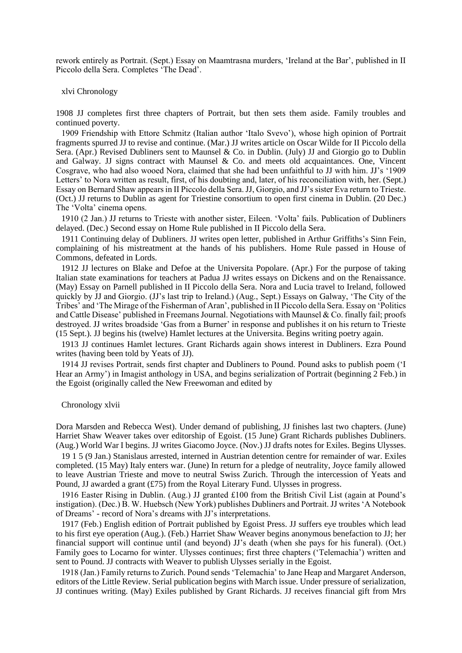rework entirely as Portrait. (Sept.) Essay on Maamtrasna murders, 'Ireland at the Bar', published in II Piccolo della Sera. Completes 'The Dead'.

### xlvi Chronology

1908 JJ completes first three chapters of Portrait, but then sets them aside. Family troubles and continued poverty.

1909 Friendship with Ettore Schmitz (Italian author 'Italo Svevo'), whose high opinion of Portrait fragments spurred JJ to revise and continue. (Mar.) JJ writes article on Oscar Wilde for II Piccolo della Sera. (Apr.) Revised Dubliners sent to Maunsel & Co. in Dublin. (July) JJ and Giorgio go to Dublin and Galway. JJ signs contract with Maunsel & Co. and meets old acquaintances. One, Vincent Cosgrave, who had also wooed Nora, claimed that she had been unfaithful to JJ with him. JJ's '1909 Letters' to Nora written as result, first, of his doubting and, later, of his reconciliation with, her. (Sept.) Essay on Bernard Shaw appears in II Piccolo della Sera. JJ, Giorgio, and JJ's sister Eva return to Trieste. (Oct.) JJ returns to Dublin as agent for Triestine consortium to open first cinema in Dublin. (20 Dec.) The 'Volta' cinema opens.

1910 (2 Jan.) JJ returns to Trieste with another sister, Eileen. 'Volta' fails. Publication of Dubliners delayed. (Dec.) Second essay on Home Rule published in II Piccolo della Sera.

1911 Continuing delay of Dubliners. JJ writes open letter, published in Arthur Griffiths's Sinn Fein, complaining of his mistreatment at the hands of his publishers. Home Rule passed in House of Commons, defeated in Lords.

1912 JJ lectures on Blake and Defoe at the Universita Popolare. (Apr.) For the purpose of taking Italian state examinations for teachers at Padua JJ writes essays on Dickens and on the Renaissance. (May) Essay on Parnell published in II Piccolo della Sera. Nora and Lucia travel to Ireland, followed quickly by JJ and Giorgio. (JJ's last trip to Ireland.) (Aug., Sept.) Essays on Galway, 'The City of the Tribes' and 'The Mirage of the Fisherman of Aran', published in II Piccolo della Sera. Essay on 'Politics and Cattle Disease' published in Freemans Journal. Negotiations with Maunsel & Co. finally fail; proofs destroyed. JJ writes broadside 'Gas from a Burner' in response and publishes it on his return to Trieste (15 Sept.). JJ begins his (twelve) Hamlet lectures at the Universita. Begins writing poetry again.

1913 JJ continues Hamlet lectures. Grant Richards again shows interest in Dubliners. Ezra Pound writes (having been told by Yeats of JJ).

1914 JJ revises Portrait, sends first chapter and Dubliners to Pound. Pound asks to publish poem ('I Hear an Army') in Imagist anthology in USA, and begins serialization of Portrait (beginning 2 Feb.) in the Egoist (originally called the New Freewoman and edited by

## Chronology xlvii

Dora Marsden and Rebecca West). Under demand of publishing, JJ finishes last two chapters. (June) Harriet Shaw Weaver takes over editorship of Egoist. (15 June) Grant Richards publishes Dubliners. (Aug.) World War I begins. JJ writes Giacomo Joyce. (Nov.) JJ drafts notes for Exiles. Begins Ulysses.

19 1 5 (9 Jan.) Stanislaus arrested, interned in Austrian detention centre for remainder of war. Exiles completed. (15 May) Italy enters war. (June) In return for a pledge of neutrality, Joyce family allowed to leave Austrian Trieste and move to neutral Swiss Zurich. Through the intercession of Yeats and Pound, JJ awarded a grant (£75) from the Royal Literary Fund. Ulysses in progress.

1916 Easter Rising in Dublin. (Aug.) JJ granted £100 from the British Civil List (again at Pound's instigation). (Dec.) B. W. Huebsch (New York) publishes Dubliners and Portrait. JJ writes 'A Notebook of Dreams' - record of Nora's dreams with JJ's interpretations.

1917 (Feb.) English edition of Portrait published by Egoist Press. JJ suffers eye troubles which lead to his first eye operation (Aug.). (Feb.) Harriet Shaw Weaver begins anonymous benefaction to JJ; her financial support will continue until (and beyond) JJ's death (when she pays for his funeral). (Oct.) Family goes to Locarno for winter. Ulysses continues; first three chapters ('Telemachia') written and sent to Pound. JJ contracts with Weaver to publish Ulysses serially in the Egoist.

1918 (Jan.) Family returns to Zurich. Pound sends 'Telemachia' to Jane Heap and Margaret Anderson, editors of the Little Review. Serial publication begins with March issue. Under pressure of serialization, JJ continues writing. (May) Exiles published by Grant Richards. JJ receives financial gift from Mrs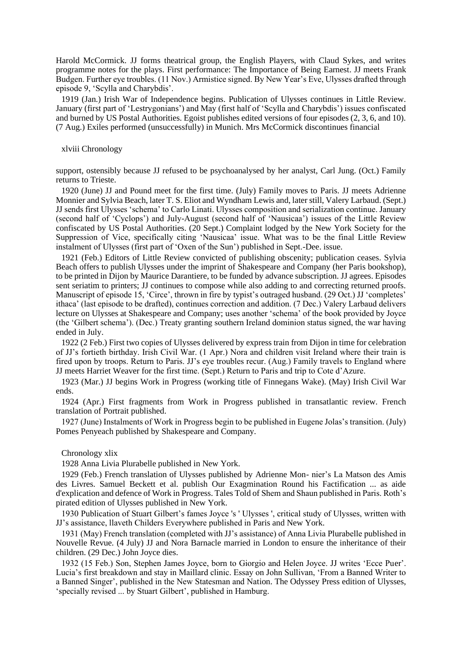Harold McCormick. JJ forms theatrical group, the English Players, with Claud Sykes, and writes programme notes for the plays. First performance: The Importance of Being Earnest. JJ meets Frank Budgen. Further eye troubles. (11 Nov.) Armistice signed. By New Year's Eve, Ulysses drafted through episode 9, 'Scylla and Charybdis'.

1919 (Jan.) Irish War of Independence begins. Publication of Ulysses continues in Little Review. January (first part of 'Lestrygonians') and May (first half of 'Scylla and Charybdis') issues confiscated and burned by US Postal Authorities. Egoist publishes edited versions of four episodes (2, 3, 6, and 10). (7 Aug.) Exiles performed (unsuccessfully) in Munich. Mrs McCormick discontinues financial

# xlviii Chronology

support, ostensibly because JJ refused to be psychoanalysed by her analyst, Carl Jung. (Oct.) Family returns to Trieste.

1920 (June) JJ and Pound meet for the first time. (July) Family moves to Paris. JJ meets Adrienne Monnier and Sylvia Beach, later T. S. Eliot and Wyndham Lewis and, later still, Valery Larbaud. (Sept.) JJ sends first Ulysses 'schema' to Carlo Linati. Ulysses composition and serialization continue. January (second half of 'Cyclops') and July-August (second half of 'Nausicaa') issues of the Little Review confiscated by US Postal Authorities. (20 Sept.) Complaint lodged by the New York Society for the Suppression of Vice, specifically citing 'Nausicaa' issue. What was to be the final Little Review instalment of Ulysses (first part of 'Oxen of the Sun') published in Sept.-Dee. issue.

1921 (Feb.) Editors of Little Review convicted of publishing obscenity; publication ceases. Sylvia Beach offers to publish Ulysses under the imprint of Shakespeare and Company (her Paris bookshop), to be printed in Dijon by Maurice Darantiere, to be funded by advance subscription. JJ agrees. Episodes sent seriatim to printers; JJ continues to compose while also adding to and correcting returned proofs. Manuscript of episode 15, 'Circe', thrown in fire by typist's outraged husband. (29 Oct.) JJ 'completes' ithaca' (last episode to be drafted), continues correction and addition. (7 Dec.) Valery Larbaud delivers lecture on Ulysses at Shakespeare and Company; uses another 'schema' of the book provided by Joyce (the 'Gilbert schema'). (Dec.) Treaty granting southern Ireland dominion status signed, the war having ended in July.

1922 (2 Feb.) First two copies of Ulysses delivered by express train from Dijon in time for celebration of JJ's fortieth birthday. Irish Civil War. (1 Apr.) Nora and children visit Ireland where their train is fired upon by troops. Return to Paris. JJ's eye troubles recur. (Aug.) Family travels to England where JJ meets Harriet Weaver for the first time. (Sept.) Return to Paris and trip to Cote d'Azure.

1923 (Mar.) JJ begins Work in Progress (working title of Finnegans Wake). (May) Irish Civil War ends.

1924 (Apr.) First fragments from Work in Progress published in transatlantic review. French translation of Portrait published.

1927 (June) Instalments of Work in Progress begin to be published in Eugene Jolas's transition. (July) Pomes Penyeach published by Shakespeare and Company.

#### Chronology xlix

1928 Anna Livia Plurabelle published in New York.

1929 (Feb.) French translation of Ulysses published by Adrienne Mon- nier's La Matson des Amis des Livres. Samuel Beckett et al. publish Our Exagmination Round his Factification ... as aide d'explication and defence of Work in Progress. Tales Told of Shem and Shaun published in Paris. Roth's pirated edition of Ulysses published in New York.

1930 Publication of Stuart Gilbert's fames Joyce 's ' Ulysses ', critical study of Ulysses, written with JJ's assistance, llaveth Childers Everywhere published in Paris and New York.

1931 (May) French translation (completed with JJ's assistance) of Anna Livia Plurabelle published in Nouvelle Revue. (4 July) JJ and Nora Barnacle married in London to ensure the inheritance of their children. (29 Dec.) John Joyce dies.

1932 (15 Feb.) Son, Stephen James Joyce, born to Giorgio and Helen Joyce. JJ writes 'Ecce Puer'. Lucia's first breakdown and stay in Maillard clinic. Essay on John Sullivan, 'From a Banned Writer to a Banned Singer', published in the New Statesman and Nation. The Odyssey Press edition of Ulysses, 'specially revised ... by Stuart Gilbert', published in Hamburg.